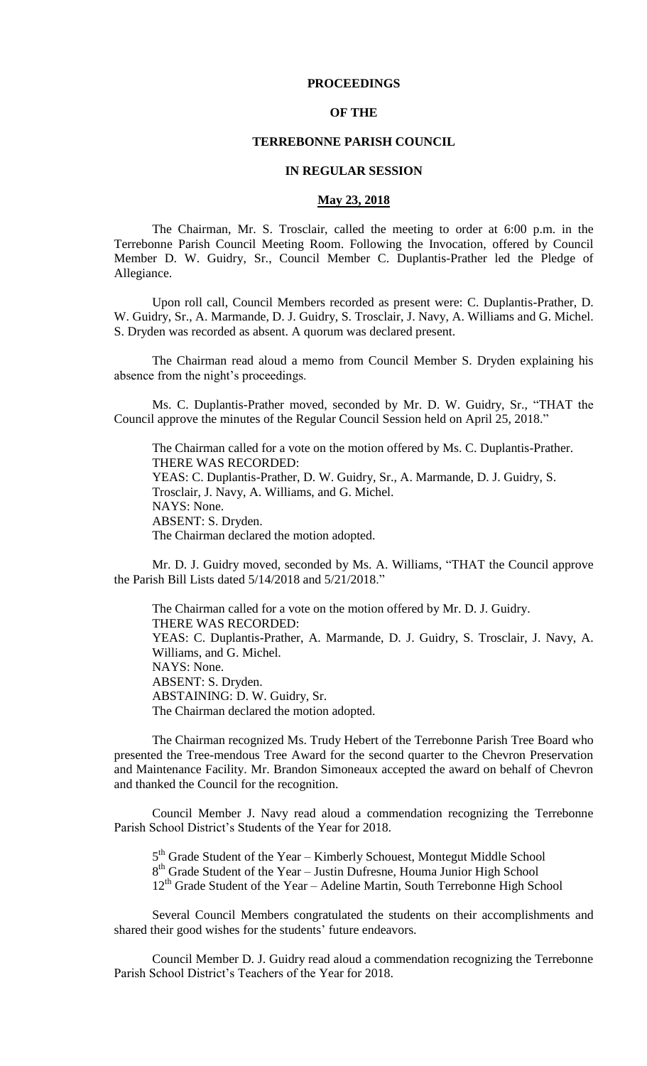## **PROCEEDINGS**

#### **OF THE**

#### **TERREBONNE PARISH COUNCIL**

#### **IN REGULAR SESSION**

### **May 23, 2018**

The Chairman, Mr. S. Trosclair, called the meeting to order at 6:00 p.m. in the Terrebonne Parish Council Meeting Room. Following the Invocation, offered by Council Member D. W. Guidry, Sr., Council Member C. Duplantis-Prather led the Pledge of Allegiance.

Upon roll call, Council Members recorded as present were: C. Duplantis-Prather, D. W. Guidry, Sr., A. Marmande, D. J. Guidry, S. Trosclair, J. Navy, A. Williams and G. Michel. S. Dryden was recorded as absent. A quorum was declared present.

The Chairman read aloud a memo from Council Member S. Dryden explaining his absence from the night's proceedings.

Ms. C. Duplantis-Prather moved, seconded by Mr. D. W. Guidry, Sr., "THAT the Council approve the minutes of the Regular Council Session held on April 25, 2018."

The Chairman called for a vote on the motion offered by Ms. C. Duplantis-Prather. THERE WAS RECORDED: YEAS: C. Duplantis-Prather, D. W. Guidry, Sr., A. Marmande, D. J. Guidry, S. Trosclair, J. Navy, A. Williams, and G. Michel. NAYS: None. ABSENT: S. Dryden. The Chairman declared the motion adopted.

Mr. D. J. Guidry moved, seconded by Ms. A. Williams, "THAT the Council approve the Parish Bill Lists dated 5/14/2018 and 5/21/2018."

The Chairman called for a vote on the motion offered by Mr. D. J. Guidry. THERE WAS RECORDED: YEAS: C. Duplantis-Prather, A. Marmande, D. J. Guidry, S. Trosclair, J. Navy, A. Williams, and G. Michel. NAYS: None. ABSENT: S. Dryden. ABSTAINING: D. W. Guidry, Sr. The Chairman declared the motion adopted.

The Chairman recognized Ms. Trudy Hebert of the Terrebonne Parish Tree Board who presented the Tree-mendous Tree Award for the second quarter to the Chevron Preservation and Maintenance Facility. Mr. Brandon Simoneaux accepted the award on behalf of Chevron and thanked the Council for the recognition.

Council Member J. Navy read aloud a commendation recognizing the Terrebonne Parish School District's Students of the Year for 2018.

5<sup>th</sup> Grade Student of the Year – Kimberly Schouest, Montegut Middle School 8<sup>th</sup> Grade Student of the Year – Justin Dufresne, Houma Junior High School  $12<sup>th</sup>$  Grade Student of the Year – Adeline Martin, South Terrebonne High School

Several Council Members congratulated the students on their accomplishments and shared their good wishes for the students' future endeavors.

Council Member D. J. Guidry read aloud a commendation recognizing the Terrebonne Parish School District's Teachers of the Year for 2018.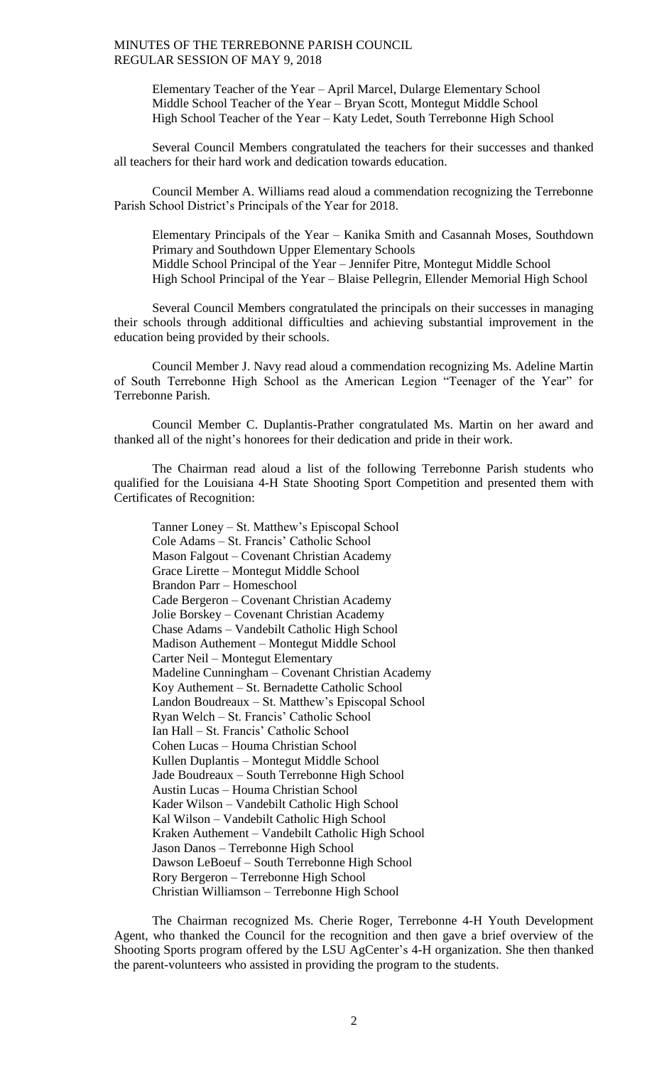Elementary Teacher of the Year – April Marcel, Dularge Elementary School Middle School Teacher of the Year – Bryan Scott, Montegut Middle School High School Teacher of the Year – Katy Ledet, South Terrebonne High School

Several Council Members congratulated the teachers for their successes and thanked all teachers for their hard work and dedication towards education.

Council Member A. Williams read aloud a commendation recognizing the Terrebonne Parish School District's Principals of the Year for 2018.

Elementary Principals of the Year – Kanika Smith and Casannah Moses, Southdown Primary and Southdown Upper Elementary Schools Middle School Principal of the Year – Jennifer Pitre, Montegut Middle School High School Principal of the Year – Blaise Pellegrin, Ellender Memorial High School

Several Council Members congratulated the principals on their successes in managing their schools through additional difficulties and achieving substantial improvement in the education being provided by their schools.

Council Member J. Navy read aloud a commendation recognizing Ms. Adeline Martin of South Terrebonne High School as the American Legion "Teenager of the Year" for Terrebonne Parish.

Council Member C. Duplantis-Prather congratulated Ms. Martin on her award and thanked all of the night's honorees for their dedication and pride in their work.

The Chairman read aloud a list of the following Terrebonne Parish students who qualified for the Louisiana 4-H State Shooting Sport Competition and presented them with Certificates of Recognition:

Tanner Loney – St. Matthew's Episcopal School Cole Adams – St. Francis' Catholic School Mason Falgout – Covenant Christian Academy Grace Lirette – Montegut Middle School Brandon Parr – Homeschool Cade Bergeron – Covenant Christian Academy Jolie Borskey – Covenant Christian Academy Chase Adams – Vandebilt Catholic High School Madison Authement – Montegut Middle School Carter Neil – Montegut Elementary Madeline Cunningham – Covenant Christian Academy Koy Authement – St. Bernadette Catholic School Landon Boudreaux – St. Matthew's Episcopal School Ryan Welch – St. Francis' Catholic School Ian Hall – St. Francis' Catholic School Cohen Lucas – Houma Christian School Kullen Duplantis – Montegut Middle School Jade Boudreaux – South Terrebonne High School Austin Lucas – Houma Christian School Kader Wilson – Vandebilt Catholic High School Kal Wilson – Vandebilt Catholic High School Kraken Authement – Vandebilt Catholic High School Jason Danos – Terrebonne High School Dawson LeBoeuf – South Terrebonne High School Rory Bergeron – Terrebonne High School Christian Williamson – Terrebonne High School

The Chairman recognized Ms. Cherie Roger, Terrebonne 4-H Youth Development Agent, who thanked the Council for the recognition and then gave a brief overview of the Shooting Sports program offered by the LSU AgCenter's 4-H organization. She then thanked the parent-volunteers who assisted in providing the program to the students.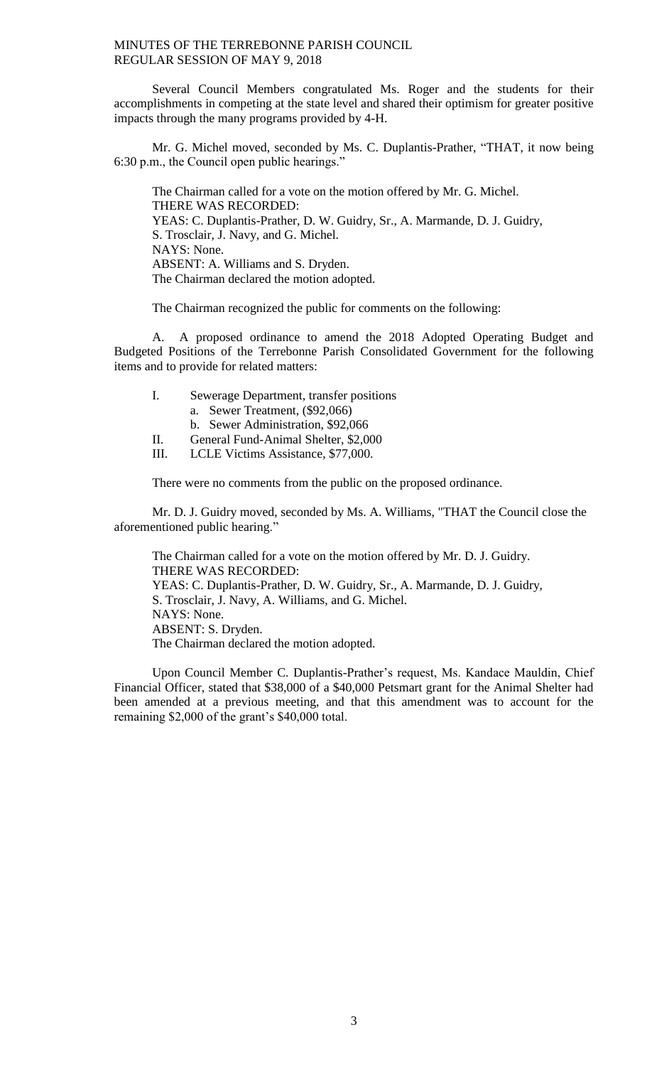Several Council Members congratulated Ms. Roger and the students for their accomplishments in competing at the state level and shared their optimism for greater positive impacts through the many programs provided by 4-H.

Mr. G. Michel moved, seconded by Ms. C. Duplantis-Prather, "THAT, it now being 6:30 p.m., the Council open public hearings."

The Chairman called for a vote on the motion offered by Mr. G. Michel. THERE WAS RECORDED: YEAS: C. Duplantis-Prather, D. W. Guidry, Sr., A. Marmande, D. J. Guidry, S. Trosclair, J. Navy, and G. Michel. NAYS: None. ABSENT: A. Williams and S. Dryden. The Chairman declared the motion adopted.

The Chairman recognized the public for comments on the following:

A. A proposed ordinance to amend the 2018 Adopted Operating Budget and Budgeted Positions of the Terrebonne Parish Consolidated Government for the following items and to provide for related matters:

| I.  | Sewerage Department, transfer positions                      |
|-----|--------------------------------------------------------------|
|     | a. Sewer Treatment, (\$92,066)                               |
|     | b. Sewer Administration, \$92,066                            |
| H.  | General Fund-Animal Shelter, \$2,000                         |
| TTT | LOURN: $\mathbf{A}$ is the set $\mathbf{A}$ and $\mathbf{A}$ |

III. LCLE Victims Assistance, \$77,000.

There were no comments from the public on the proposed ordinance.

Mr. D. J. Guidry moved, seconded by Ms. A. Williams, "THAT the Council close the aforementioned public hearing."

The Chairman called for a vote on the motion offered by Mr. D. J. Guidry. THERE WAS RECORDED: YEAS: C. Duplantis-Prather, D. W. Guidry, Sr., A. Marmande, D. J. Guidry, S. Trosclair, J. Navy, A. Williams, and G. Michel. NAYS: None. ABSENT: S. Dryden. The Chairman declared the motion adopted.

Upon Council Member C. Duplantis-Prather's request, Ms. Kandace Mauldin, Chief Financial Officer, stated that \$38,000 of a \$40,000 Petsmart grant for the Animal Shelter had been amended at a previous meeting, and that this amendment was to account for the remaining \$2,000 of the grant's \$40,000 total.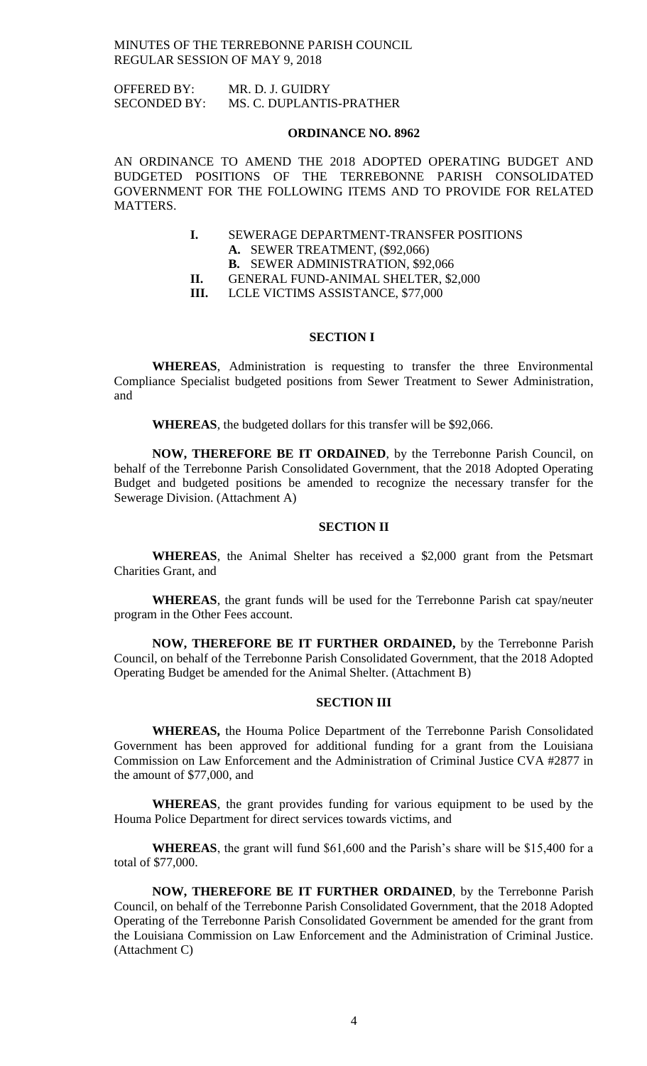OFFERED BY: MR. D. J. GUIDRY SECONDED BY: MS. C. DUPLANTIS-PRATHER

#### **ORDINANCE NO. 8962**

AN ORDINANCE TO AMEND THE 2018 ADOPTED OPERATING BUDGET AND BUDGETED POSITIONS OF THE TERREBONNE PARISH CONSOLIDATED GOVERNMENT FOR THE FOLLOWING ITEMS AND TO PROVIDE FOR RELATED MATTERS.

- **I.** SEWERAGE DEPARTMENT-TRANSFER POSITIONS **A.** SEWER TREATMENT, (\$92,066)
	- **B.** SEWER ADMINISTRATION, \$92,066
- **II.** GENERAL FUND-ANIMAL SHELTER, \$2,000
- **III.** LCLE VICTIMS ASSISTANCE, \$77,000

#### **SECTION I**

**WHEREAS**, Administration is requesting to transfer the three Environmental Compliance Specialist budgeted positions from Sewer Treatment to Sewer Administration, and

**WHEREAS**, the budgeted dollars for this transfer will be \$92,066.

**NOW, THEREFORE BE IT ORDAINED**, by the Terrebonne Parish Council, on behalf of the Terrebonne Parish Consolidated Government, that the 2018 Adopted Operating Budget and budgeted positions be amended to recognize the necessary transfer for the Sewerage Division. (Attachment A)

# **SECTION II**

**WHEREAS**, the Animal Shelter has received a \$2,000 grant from the Petsmart Charities Grant, and

**WHEREAS**, the grant funds will be used for the Terrebonne Parish cat spay/neuter program in the Other Fees account.

**NOW, THEREFORE BE IT FURTHER ORDAINED,** by the Terrebonne Parish Council, on behalf of the Terrebonne Parish Consolidated Government, that the 2018 Adopted Operating Budget be amended for the Animal Shelter. (Attachment B)

#### **SECTION III**

**WHEREAS,** the Houma Police Department of the Terrebonne Parish Consolidated Government has been approved for additional funding for a grant from the Louisiana Commission on Law Enforcement and the Administration of Criminal Justice CVA #2877 in the amount of \$77,000, and

**WHEREAS**, the grant provides funding for various equipment to be used by the Houma Police Department for direct services towards victims, and

**WHEREAS**, the grant will fund \$61,600 and the Parish's share will be \$15,400 for a total of \$77,000.

**NOW, THEREFORE BE IT FURTHER ORDAINED**, by the Terrebonne Parish Council, on behalf of the Terrebonne Parish Consolidated Government, that the 2018 Adopted Operating of the Terrebonne Parish Consolidated Government be amended for the grant from the Louisiana Commission on Law Enforcement and the Administration of Criminal Justice. (Attachment C)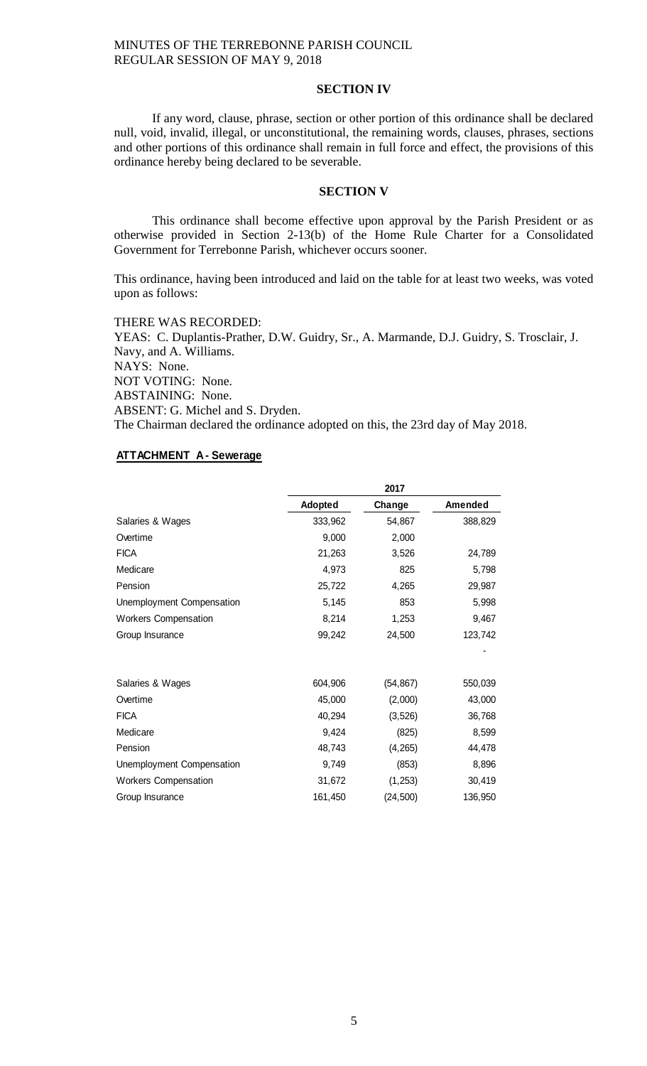### **SECTION IV**

If any word, clause, phrase, section or other portion of this ordinance shall be declared null, void, invalid, illegal, or unconstitutional, the remaining words, clauses, phrases, sections and other portions of this ordinance shall remain in full force and effect, the provisions of this ordinance hereby being declared to be severable.

#### **SECTION V**

This ordinance shall become effective upon approval by the Parish President or as otherwise provided in Section 2-13(b) of the Home Rule Charter for a Consolidated Government for Terrebonne Parish, whichever occurs sooner.

This ordinance, having been introduced and laid on the table for at least two weeks, was voted upon as follows:

THERE WAS RECORDED: YEAS: C. Duplantis-Prather, D.W. Guidry, Sr., A. Marmande, D.J. Guidry, S. Trosclair, J. Navy, and A. Williams. NAYS: None. NOT VOTING: None. ABSTAINING: None. ABSENT: G. Michel and S. Dryden. The Chairman declared the ordinance adopted on this, the 23rd day of May 2018.

# **ATTACHMENT A - Sewerage**

|                             | 2017    |           |         |
|-----------------------------|---------|-----------|---------|
|                             | Adopted | Change    | Amended |
| Salaries & Wages            | 333,962 | 54,867    | 388,829 |
| Overtime                    | 9,000   | 2,000     |         |
| <b>FICA</b>                 | 21,263  | 3,526     | 24,789  |
| Medicare                    | 4,973   | 825       | 5,798   |
| Pension                     | 25,722  | 4,265     | 29,987  |
| Unemployment Compensation   | 5,145   | 853       | 5,998   |
| <b>Workers Compensation</b> | 8,214   | 1,253     | 9,467   |
| Group Insurance             | 99,242  | 24,500    | 123,742 |
|                             |         |           |         |
| Salaries & Wages            | 604,906 | (54,867)  | 550,039 |
| Overtime                    | 45,000  | (2,000)   | 43,000  |
| <b>FICA</b>                 | 40,294  | (3, 526)  | 36,768  |
| Medicare                    | 9,424   | (825)     | 8,599   |
| Pension                     | 48,743  | (4, 265)  | 44,478  |
| Unemployment Compensation   | 9,749   | (853)     | 8,896   |
| <b>Workers Compensation</b> | 31,672  | (1, 253)  | 30,419  |
| Group Insurance             | 161,450 | (24, 500) | 136,950 |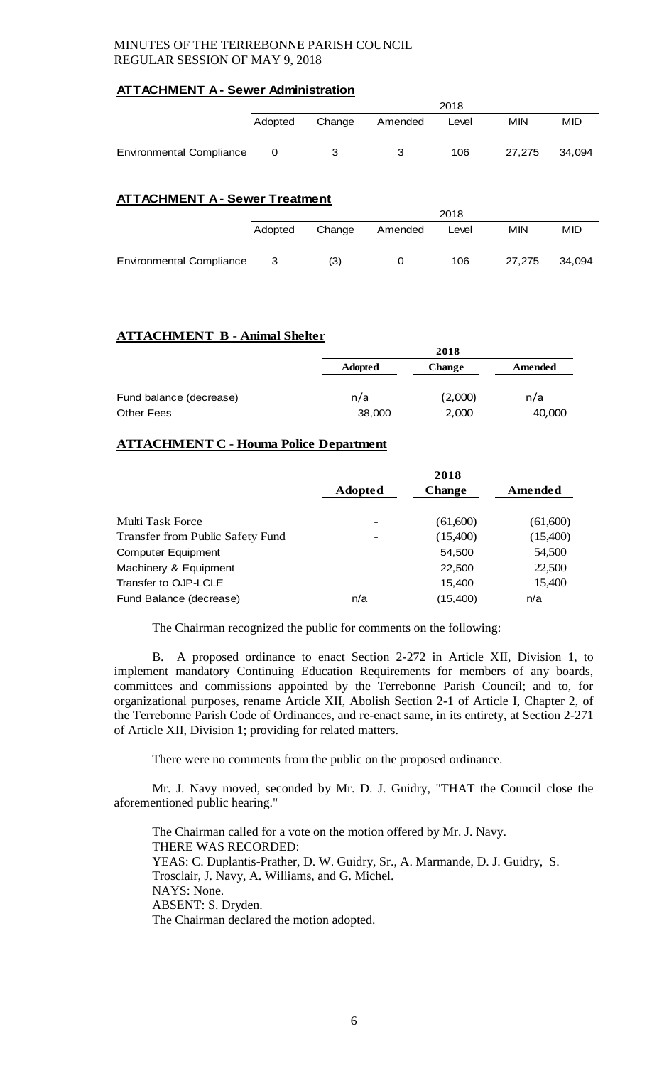# **ATTACHMENT A - Sewer Administration**

|                                 | 2018    |                                   |   |     |        |        |
|---------------------------------|---------|-----------------------------------|---|-----|--------|--------|
|                                 | Adopted | MIN<br>Change<br>Amended<br>Level |   |     |        | MID    |
|                                 |         |                                   |   |     |        |        |
| <b>Environmental Compliance</b> |         | 3                                 | 3 | 106 | 27.275 | 34.094 |

# **ATTACHMENT A - Sewer Treatment**

|                                 | 2018                                         |     |  |     |        |        |
|---------------------------------|----------------------------------------------|-----|--|-----|--------|--------|
|                                 | MIN<br>Change<br>Amended<br>Adopted<br>Level |     |  |     |        | MID    |
|                                 |                                              |     |  |     |        |        |
| <b>Environmental Compliance</b> | -3                                           | (3) |  | 106 | 27.275 | 34.094 |

# **ATTACHMENT B - Animal Shelter**

|                         |                | 2018          |         |
|-------------------------|----------------|---------------|---------|
|                         | <b>Adopted</b> | <b>Change</b> | Amended |
|                         |                |               |         |
| Fund balance (decrease) | n/a            | (2,000)       | n/a     |
| <b>Other Fees</b>       | 38,000         | 2,000         | 40,000  |

# **ATTACHMENT C - Houma Police Department**

|                                  | 2018                     |               |          |
|----------------------------------|--------------------------|---------------|----------|
|                                  | <b>Adopted</b>           | <b>Change</b> | Amended  |
| Multi Task Force                 | $\overline{\phantom{0}}$ | (61,600)      | (61,600) |
| Transfer from Public Safety Fund | $\overline{\phantom{0}}$ | (15,400)      | (15,400) |
| <b>Computer Equipment</b>        |                          | 54,500        | 54,500   |
| Machinery & Equipment            |                          | 22,500        | 22,500   |
| Transfer to OJP-LCLE             |                          | 15,400        | 15,400   |
| Fund Balance (decrease)          | n/a                      | (15, 400)     | n/a      |

The Chairman recognized the public for comments on the following:

B. A proposed ordinance to enact Section 2-272 in Article XII, Division 1, to implement mandatory Continuing Education Requirements for members of any boards, committees and commissions appointed by the Terrebonne Parish Council; and to, for organizational purposes, rename Article XII, Abolish Section 2-1 of Article I, Chapter 2, of the Terrebonne Parish Code of Ordinances, and re-enact same, in its entirety, at Section 2-271 of Article XII, Division 1; providing for related matters.

There were no comments from the public on the proposed ordinance.

Mr. J. Navy moved, seconded by Mr. D. J. Guidry, "THAT the Council close the aforementioned public hearing."

The Chairman called for a vote on the motion offered by Mr. J. Navy. THERE WAS RECORDED: YEAS: C. Duplantis-Prather, D. W. Guidry, Sr., A. Marmande, D. J. Guidry, S. Trosclair, J. Navy, A. Williams, and G. Michel. NAYS: None. ABSENT: S. Dryden. The Chairman declared the motion adopted.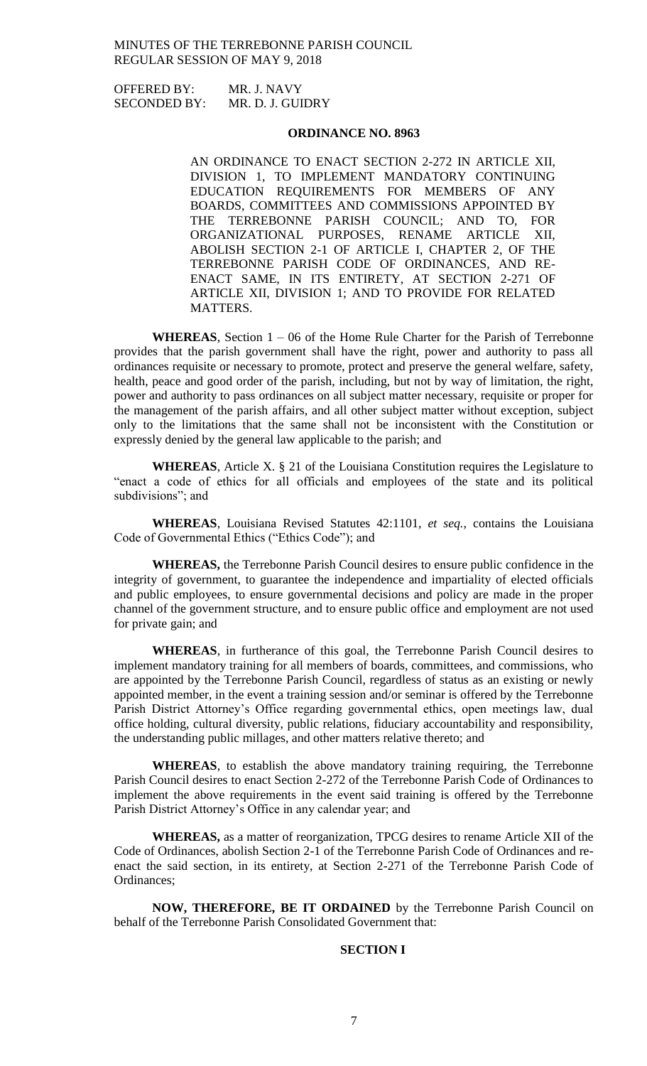OFFERED BY: MR. J. NAVY SECONDED BY: MR. D. J. GUIDRY

# **ORDINANCE NO. 8963**

AN ORDINANCE TO ENACT SECTION 2-272 IN ARTICLE XII, DIVISION 1, TO IMPLEMENT MANDATORY CONTINUING EDUCATION REQUIREMENTS FOR MEMBERS OF ANY BOARDS, COMMITTEES AND COMMISSIONS APPOINTED BY THE TERREBONNE PARISH COUNCIL; AND TO, FOR ORGANIZATIONAL PURPOSES, RENAME ARTICLE XII, ABOLISH SECTION 2-1 OF ARTICLE I, CHAPTER 2, OF THE TERREBONNE PARISH CODE OF ORDINANCES, AND RE-ENACT SAME, IN ITS ENTIRETY, AT SECTION 2-271 OF ARTICLE XII, DIVISION 1; AND TO PROVIDE FOR RELATED MATTERS.

**WHEREAS**, Section 1 – 06 of the Home Rule Charter for the Parish of Terrebonne provides that the parish government shall have the right, power and authority to pass all ordinances requisite or necessary to promote, protect and preserve the general welfare, safety, health, peace and good order of the parish, including, but not by way of limitation, the right, power and authority to pass ordinances on all subject matter necessary, requisite or proper for the management of the parish affairs, and all other subject matter without exception, subject only to the limitations that the same shall not be inconsistent with the Constitution or expressly denied by the general law applicable to the parish; and

**WHEREAS**, Article X. § 21 of the Louisiana Constitution requires the Legislature to "enact a code of ethics for all officials and employees of the state and its political subdivisions"; and

**WHEREAS**, Louisiana Revised Statutes 42:1101, *et seq.*, contains the Louisiana Code of Governmental Ethics ("Ethics Code"); and

**WHEREAS,** the Terrebonne Parish Council desires to ensure public confidence in the integrity of government, to guarantee the independence and impartiality of elected officials and public employees, to ensure governmental decisions and policy are made in the proper channel of the government structure, and to ensure public office and employment are not used for private gain; and

**WHEREAS**, in furtherance of this goal, the Terrebonne Parish Council desires to implement mandatory training for all members of boards, committees, and commissions, who are appointed by the Terrebonne Parish Council, regardless of status as an existing or newly appointed member, in the event a training session and/or seminar is offered by the Terrebonne Parish District Attorney's Office regarding governmental ethics, open meetings law, dual office holding, cultural diversity, public relations, fiduciary accountability and responsibility, the understanding public millages, and other matters relative thereto; and

**WHEREAS**, to establish the above mandatory training requiring, the Terrebonne Parish Council desires to enact Section 2-272 of the Terrebonne Parish Code of Ordinances to implement the above requirements in the event said training is offered by the Terrebonne Parish District Attorney's Office in any calendar year; and

**WHEREAS,** as a matter of reorganization, TPCG desires to rename Article XII of the Code of Ordinances, abolish Section 2-1 of the Terrebonne Parish Code of Ordinances and reenact the said section, in its entirety, at Section 2-271 of the Terrebonne Parish Code of Ordinances;

**NOW, THEREFORE, BE IT ORDAINED** by the Terrebonne Parish Council on behalf of the Terrebonne Parish Consolidated Government that:

### **SECTION I**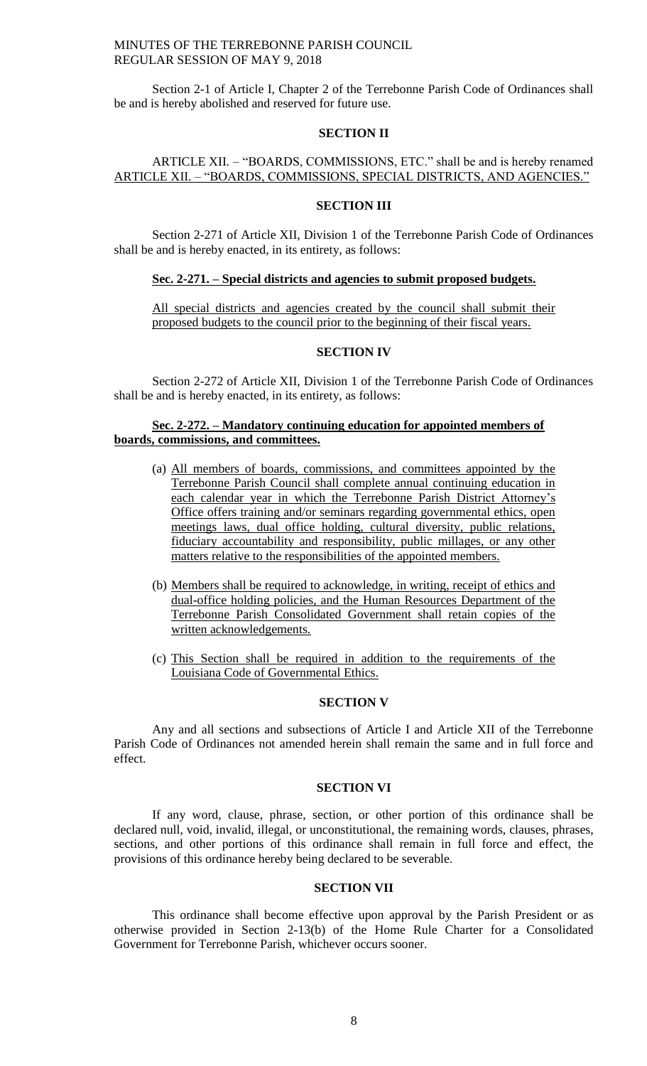Section 2-1 of Article I, Chapter 2 of the Terrebonne Parish Code of Ordinances shall be and is hereby abolished and reserved for future use.

### **SECTION II**

# ARTICLE XII. – "BOARDS, COMMISSIONS, ETC." shall be and is hereby renamed ARTICLE XII. – "BOARDS, COMMISSIONS, SPECIAL DISTRICTS, AND AGENCIES."

#### **SECTION III**

Section 2-271 of Article XII, Division 1 of the Terrebonne Parish Code of Ordinances shall be and is hereby enacted, in its entirety, as follows:

#### **Sec. 2-271. – Special districts and agencies to submit proposed budgets.**

All special districts and agencies created by the council shall submit their proposed budgets to the council prior to the beginning of their fiscal years.

# **SECTION IV**

Section 2-272 of Article XII, Division 1 of the Terrebonne Parish Code of Ordinances shall be and is hereby enacted, in its entirety, as follows:

## **Sec. 2-272. – Mandatory continuing education for appointed members of boards, commissions, and committees.**

- (a) All members of boards, commissions, and committees appointed by the Terrebonne Parish Council shall complete annual continuing education in each calendar year in which the Terrebonne Parish District Attorney's Office offers training and/or seminars regarding governmental ethics, open meetings laws, dual office holding, cultural diversity, public relations, fiduciary accountability and responsibility, public millages, or any other matters relative to the responsibilities of the appointed members.
- (b) Members shall be required to acknowledge, in writing, receipt of ethics and dual-office holding policies, and the Human Resources Department of the Terrebonne Parish Consolidated Government shall retain copies of the written acknowledgements.
- (c) This Section shall be required in addition to the requirements of the Louisiana Code of Governmental Ethics.

#### **SECTION V**

Any and all sections and subsections of Article I and Article XII of the Terrebonne Parish Code of Ordinances not amended herein shall remain the same and in full force and effect.

#### **SECTION VI**

If any word, clause, phrase, section, or other portion of this ordinance shall be declared null, void, invalid, illegal, or unconstitutional, the remaining words, clauses, phrases, sections, and other portions of this ordinance shall remain in full force and effect, the provisions of this ordinance hereby being declared to be severable.

#### **SECTION VII**

This ordinance shall become effective upon approval by the Parish President or as otherwise provided in Section 2-13(b) of the Home Rule Charter for a Consolidated Government for Terrebonne Parish, whichever occurs sooner.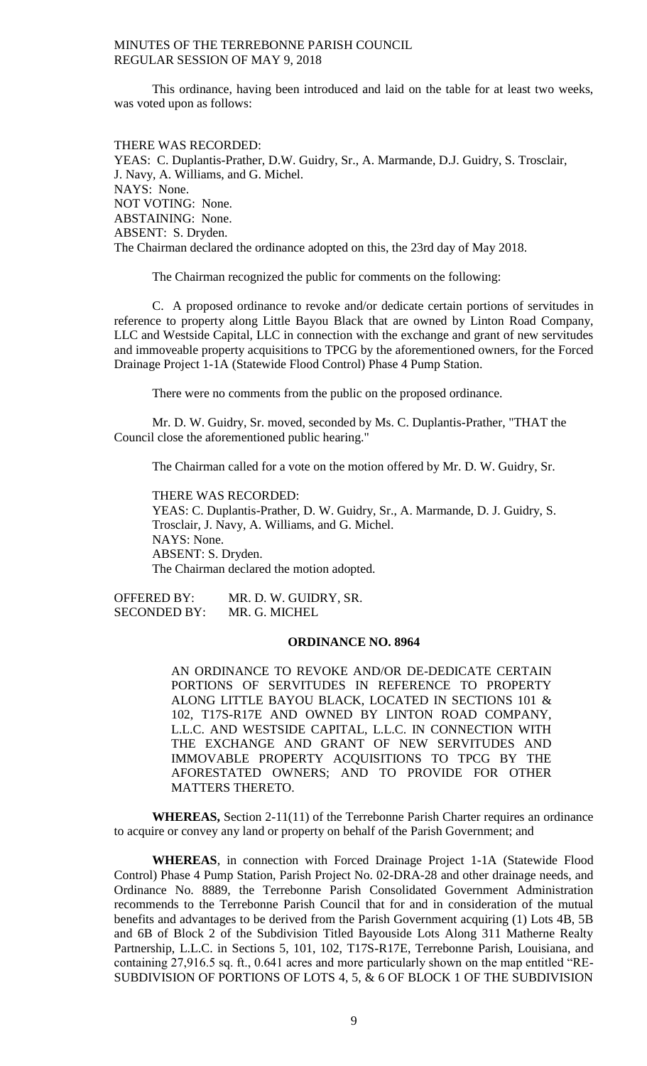This ordinance, having been introduced and laid on the table for at least two weeks, was voted upon as follows:

THERE WAS RECORDED: YEAS: C. Duplantis-Prather, D.W. Guidry, Sr., A. Marmande, D.J. Guidry, S. Trosclair, J. Navy, A. Williams, and G. Michel. NAYS: None. NOT VOTING: None. ABSTAINING: None. ABSENT: S. Dryden. The Chairman declared the ordinance adopted on this, the 23rd day of May 2018.

The Chairman recognized the public for comments on the following:

C. A proposed ordinance to revoke and/or dedicate certain portions of servitudes in reference to property along Little Bayou Black that are owned by Linton Road Company, LLC and Westside Capital, LLC in connection with the exchange and grant of new servitudes and immoveable property acquisitions to TPCG by the aforementioned owners, for the Forced Drainage Project 1-1A (Statewide Flood Control) Phase 4 Pump Station.

There were no comments from the public on the proposed ordinance.

Mr. D. W. Guidry, Sr. moved, seconded by Ms. C. Duplantis-Prather, "THAT the Council close the aforementioned public hearing."

The Chairman called for a vote on the motion offered by Mr. D. W. Guidry, Sr.

THERE WAS RECORDED: YEAS: C. Duplantis-Prather, D. W. Guidry, Sr., A. Marmande, D. J. Guidry, S. Trosclair, J. Navy, A. Williams, and G. Michel. NAYS: None. ABSENT: S. Dryden. The Chairman declared the motion adopted.

OFFERED BY: MR. D. W. GUIDRY, SR. SECONDED BY: MR. G. MICHEL

#### **ORDINANCE NO. 8964**

AN ORDINANCE TO REVOKE AND/OR DE-DEDICATE CERTAIN PORTIONS OF SERVITUDES IN REFERENCE TO PROPERTY ALONG LITTLE BAYOU BLACK, LOCATED IN SECTIONS 101 & 102, T17S-R17E AND OWNED BY LINTON ROAD COMPANY, L.L.C. AND WESTSIDE CAPITAL, L.L.C. IN CONNECTION WITH THE EXCHANGE AND GRANT OF NEW SERVITUDES AND IMMOVABLE PROPERTY ACQUISITIONS TO TPCG BY THE AFORESTATED OWNERS; AND TO PROVIDE FOR OTHER MATTERS THERETO.

**WHEREAS,** Section 2-11(11) of the Terrebonne Parish Charter requires an ordinance to acquire or convey any land or property on behalf of the Parish Government; and

**WHEREAS**, in connection with Forced Drainage Project 1-1A (Statewide Flood Control) Phase 4 Pump Station, Parish Project No. 02-DRA-28 and other drainage needs, and Ordinance No. 8889, the Terrebonne Parish Consolidated Government Administration recommends to the Terrebonne Parish Council that for and in consideration of the mutual benefits and advantages to be derived from the Parish Government acquiring (1) Lots 4B, 5B and 6B of Block 2 of the Subdivision Titled Bayouside Lots Along 311 Matherne Realty Partnership, L.L.C. in Sections 5, 101, 102, T17S-R17E, Terrebonne Parish, Louisiana, and containing 27,916.5 sq. ft., 0.641 acres and more particularly shown on the map entitled "RE-SUBDIVISION OF PORTIONS OF LOTS 4, 5, & 6 OF BLOCK 1 OF THE SUBDIVISION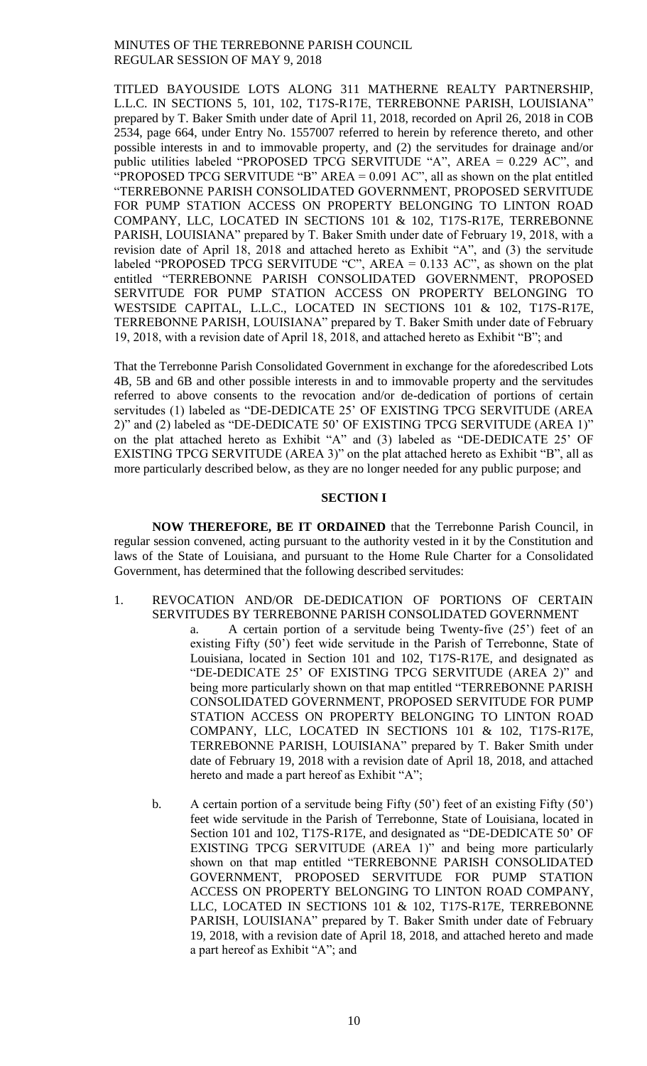TITLED BAYOUSIDE LOTS ALONG 311 MATHERNE REALTY PARTNERSHIP, L.L.C. IN SECTIONS 5, 101, 102, T17S-R17E, TERREBONNE PARISH, LOUISIANA" prepared by T. Baker Smith under date of April 11, 2018, recorded on April 26, 2018 in COB 2534, page 664, under Entry No. 1557007 referred to herein by reference thereto, and other possible interests in and to immovable property, and (2) the servitudes for drainage and/or public utilities labeled "PROPOSED TPCG SERVITUDE "A", AREA = 0.229 AC", and "PROPOSED TPCG SERVITUDE "B" AREA =  $0.091$  AC", all as shown on the plat entitled "TERREBONNE PARISH CONSOLIDATED GOVERNMENT, PROPOSED SERVITUDE FOR PUMP STATION ACCESS ON PROPERTY BELONGING TO LINTON ROAD COMPANY, LLC, LOCATED IN SECTIONS 101 & 102, T17S-R17E, TERREBONNE PARISH, LOUISIANA" prepared by T. Baker Smith under date of February 19, 2018, with a revision date of April 18, 2018 and attached hereto as Exhibit "A", and (3) the servitude labeled "PROPOSED TPCG SERVITUDE "C", AREA =  $0.133$  AC", as shown on the plat entitled "TERREBONNE PARISH CONSOLIDATED GOVERNMENT, PROPOSED SERVITUDE FOR PUMP STATION ACCESS ON PROPERTY BELONGING TO WESTSIDE CAPITAL, L.L.C., LOCATED IN SECTIONS 101 & 102, T17S-R17E, TERREBONNE PARISH, LOUISIANA" prepared by T. Baker Smith under date of February 19, 2018, with a revision date of April 18, 2018, and attached hereto as Exhibit "B"; and

That the Terrebonne Parish Consolidated Government in exchange for the aforedescribed Lots 4B, 5B and 6B and other possible interests in and to immovable property and the servitudes referred to above consents to the revocation and/or de-dedication of portions of certain servitudes (1) labeled as "DE-DEDICATE 25' OF EXISTING TPCG SERVITUDE (AREA 2)" and (2) labeled as "DE-DEDICATE 50' OF EXISTING TPCG SERVITUDE (AREA 1)" on the plat attached hereto as Exhibit "A" and (3) labeled as "DE-DEDICATE 25' OF EXISTING TPCG SERVITUDE (AREA 3)" on the plat attached hereto as Exhibit "B", all as more particularly described below, as they are no longer needed for any public purpose; and

### **SECTION I**

**NOW THEREFORE, BE IT ORDAINED** that the Terrebonne Parish Council, in regular session convened, acting pursuant to the authority vested in it by the Constitution and laws of the State of Louisiana, and pursuant to the Home Rule Charter for a Consolidated Government, has determined that the following described servitudes:

- 1. REVOCATION AND/OR DE-DEDICATION OF PORTIONS OF CERTAIN SERVITUDES BY TERREBONNE PARISH CONSOLIDATED GOVERNMENT a. A certain portion of a servitude being Twenty-five (25') feet of an existing Fifty (50') feet wide servitude in the Parish of Terrebonne, State of Louisiana, located in Section 101 and 102, T17S-R17E, and designated as "DE-DEDICATE 25' OF EXISTING TPCG SERVITUDE (AREA 2)" and being more particularly shown on that map entitled "TERREBONNE PARISH CONSOLIDATED GOVERNMENT, PROPOSED SERVITUDE FOR PUMP STATION ACCESS ON PROPERTY BELONGING TO LINTON ROAD COMPANY, LLC, LOCATED IN SECTIONS 101 & 102, T17S-R17E, TERREBONNE PARISH, LOUISIANA" prepared by T. Baker Smith under date of February 19, 2018 with a revision date of April 18, 2018, and attached hereto and made a part hereof as Exhibit "A";
	- b. A certain portion of a servitude being Fifty (50') feet of an existing Fifty (50') feet wide servitude in the Parish of Terrebonne, State of Louisiana, located in Section 101 and 102, T17S-R17E, and designated as "DE-DEDICATE 50' OF EXISTING TPCG SERVITUDE (AREA 1)" and being more particularly shown on that map entitled "TERREBONNE PARISH CONSOLIDATED GOVERNMENT, PROPOSED SERVITUDE FOR PUMP STATION ACCESS ON PROPERTY BELONGING TO LINTON ROAD COMPANY, LLC, LOCATED IN SECTIONS 101 & 102, T17S-R17E, TERREBONNE PARISH, LOUISIANA" prepared by T. Baker Smith under date of February 19, 2018, with a revision date of April 18, 2018, and attached hereto and made a part hereof as Exhibit "A"; and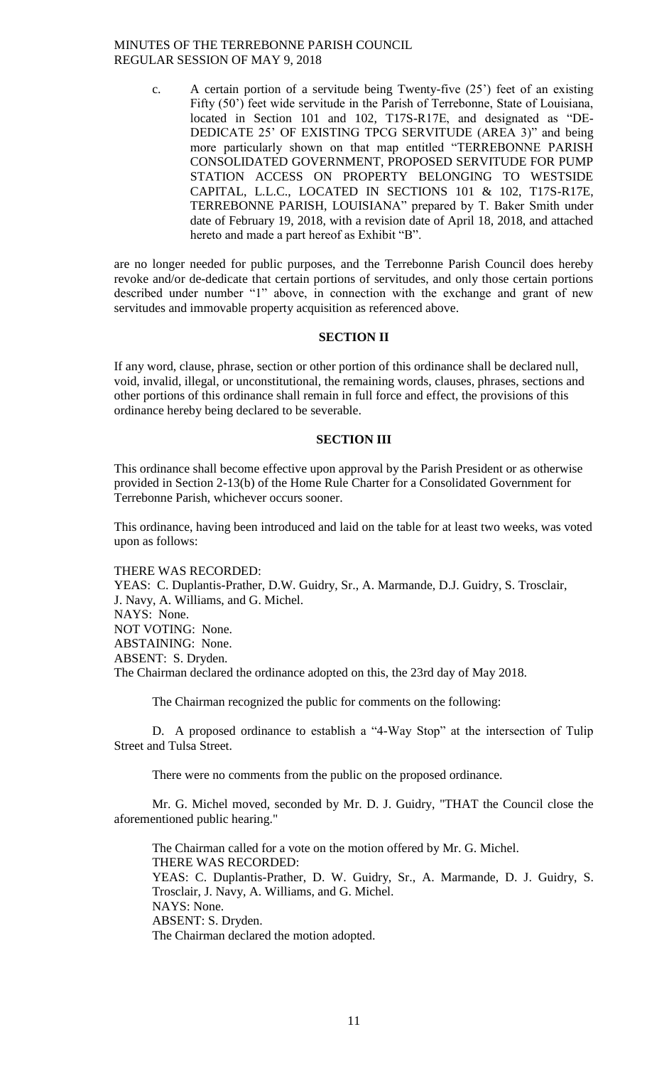c. A certain portion of a servitude being Twenty-five (25') feet of an existing Fifty (50') feet wide servitude in the Parish of Terrebonne, State of Louisiana, located in Section 101 and 102, T17S-R17E, and designated as "DE-DEDICATE 25' OF EXISTING TPCG SERVITUDE (AREA 3)" and being more particularly shown on that map entitled "TERREBONNE PARISH CONSOLIDATED GOVERNMENT, PROPOSED SERVITUDE FOR PUMP STATION ACCESS ON PROPERTY BELONGING TO WESTSIDE CAPITAL, L.L.C., LOCATED IN SECTIONS 101 & 102, T17S-R17E, TERREBONNE PARISH, LOUISIANA" prepared by T. Baker Smith under date of February 19, 2018, with a revision date of April 18, 2018, and attached hereto and made a part hereof as Exhibit "B".

are no longer needed for public purposes, and the Terrebonne Parish Council does hereby revoke and/or de-dedicate that certain portions of servitudes, and only those certain portions described under number "1" above, in connection with the exchange and grant of new servitudes and immovable property acquisition as referenced above.

## **SECTION II**

If any word, clause, phrase, section or other portion of this ordinance shall be declared null, void, invalid, illegal, or unconstitutional, the remaining words, clauses, phrases, sections and other portions of this ordinance shall remain in full force and effect, the provisions of this ordinance hereby being declared to be severable.

#### **SECTION III**

This ordinance shall become effective upon approval by the Parish President or as otherwise provided in Section 2-13(b) of the Home Rule Charter for a Consolidated Government for Terrebonne Parish, whichever occurs sooner.

This ordinance, having been introduced and laid on the table for at least two weeks, was voted upon as follows:

#### THERE WAS RECORDED:

YEAS: C. Duplantis-Prather, D.W. Guidry, Sr., A. Marmande, D.J. Guidry, S. Trosclair, J. Navy, A. Williams, and G. Michel. NAYS: None. NOT VOTING: None. ABSTAINING: None. ABSENT: S. Dryden. The Chairman declared the ordinance adopted on this, the 23rd day of May 2018.

The Chairman recognized the public for comments on the following:

D. A proposed ordinance to establish a "4-Way Stop" at the intersection of Tulip Street and Tulsa Street.

There were no comments from the public on the proposed ordinance.

Mr. G. Michel moved, seconded by Mr. D. J. Guidry, "THAT the Council close the aforementioned public hearing."

The Chairman called for a vote on the motion offered by Mr. G. Michel. THERE WAS RECORDED: YEAS: C. Duplantis-Prather, D. W. Guidry, Sr., A. Marmande, D. J. Guidry, S. Trosclair, J. Navy, A. Williams, and G. Michel. NAYS: None. ABSENT: S. Dryden. The Chairman declared the motion adopted.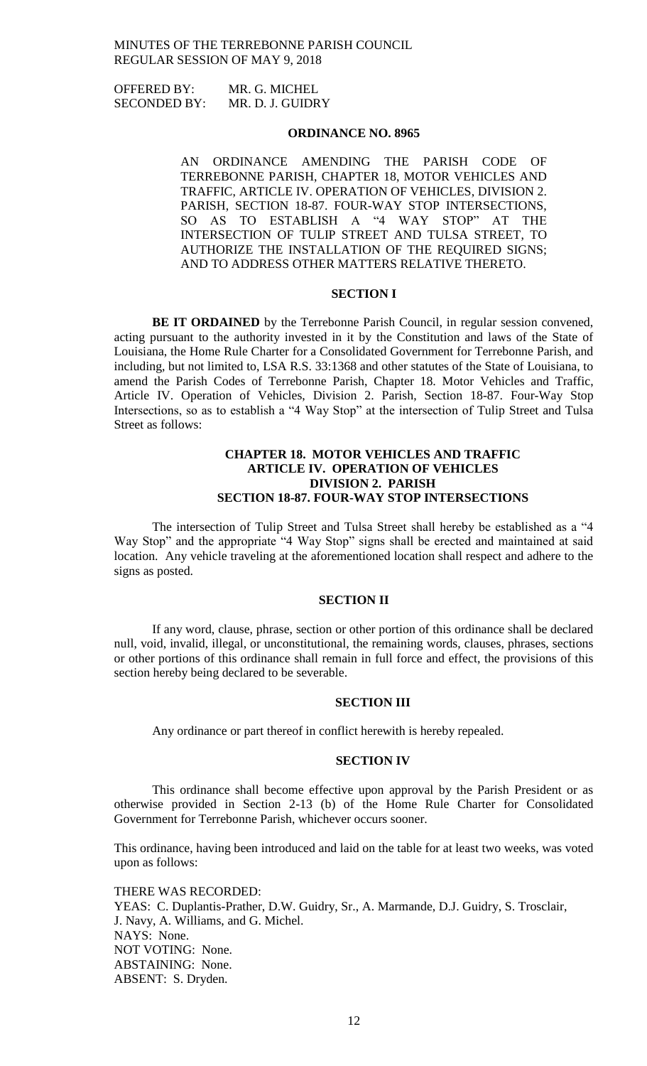OFFERED BY: MR. G. MICHEL SECONDED BY: MR. D. J. GUIDRY

### **ORDINANCE NO. 8965**

AN ORDINANCE AMENDING THE PARISH CODE OF TERREBONNE PARISH, CHAPTER 18, MOTOR VEHICLES AND TRAFFIC, ARTICLE IV. OPERATION OF VEHICLES, DIVISION 2. PARISH, SECTION 18-87. FOUR-WAY STOP INTERSECTIONS, SO AS TO ESTABLISH A "4 WAY STOP" AT THE INTERSECTION OF TULIP STREET AND TULSA STREET, TO AUTHORIZE THE INSTALLATION OF THE REQUIRED SIGNS; AND TO ADDRESS OTHER MATTERS RELATIVE THERETO.

# **SECTION I**

**BE IT ORDAINED** by the Terrebonne Parish Council, in regular session convened, acting pursuant to the authority invested in it by the Constitution and laws of the State of Louisiana, the Home Rule Charter for a Consolidated Government for Terrebonne Parish, and including, but not limited to, LSA R.S. 33:1368 and other statutes of the State of Louisiana, to amend the Parish Codes of Terrebonne Parish, Chapter 18. Motor Vehicles and Traffic, Article IV. Operation of Vehicles, Division 2. Parish, Section 18-87. Four-Way Stop Intersections, so as to establish a "4 Way Stop" at the intersection of Tulip Street and Tulsa Street as follows:

### **CHAPTER 18. MOTOR VEHICLES AND TRAFFIC ARTICLE IV. OPERATION OF VEHICLES DIVISION 2. PARISH SECTION 18-87. FOUR-WAY STOP INTERSECTIONS**

The intersection of Tulip Street and Tulsa Street shall hereby be established as a "4 Way Stop" and the appropriate "4 Way Stop" signs shall be erected and maintained at said location. Any vehicle traveling at the aforementioned location shall respect and adhere to the signs as posted.

### **SECTION II**

If any word, clause, phrase, section or other portion of this ordinance shall be declared null, void, invalid, illegal, or unconstitutional, the remaining words, clauses, phrases, sections or other portions of this ordinance shall remain in full force and effect, the provisions of this section hereby being declared to be severable.

#### **SECTION III**

Any ordinance or part thereof in conflict herewith is hereby repealed.

#### **SECTION IV**

This ordinance shall become effective upon approval by the Parish President or as otherwise provided in Section 2-13 (b) of the Home Rule Charter for Consolidated Government for Terrebonne Parish, whichever occurs sooner.

This ordinance, having been introduced and laid on the table for at least two weeks, was voted upon as follows:

THERE WAS RECORDED: YEAS: C. Duplantis-Prather, D.W. Guidry, Sr., A. Marmande, D.J. Guidry, S. Trosclair, J. Navy, A. Williams, and G. Michel. NAYS: None. NOT VOTING: None. ABSTAINING: None. ABSENT: S. Dryden.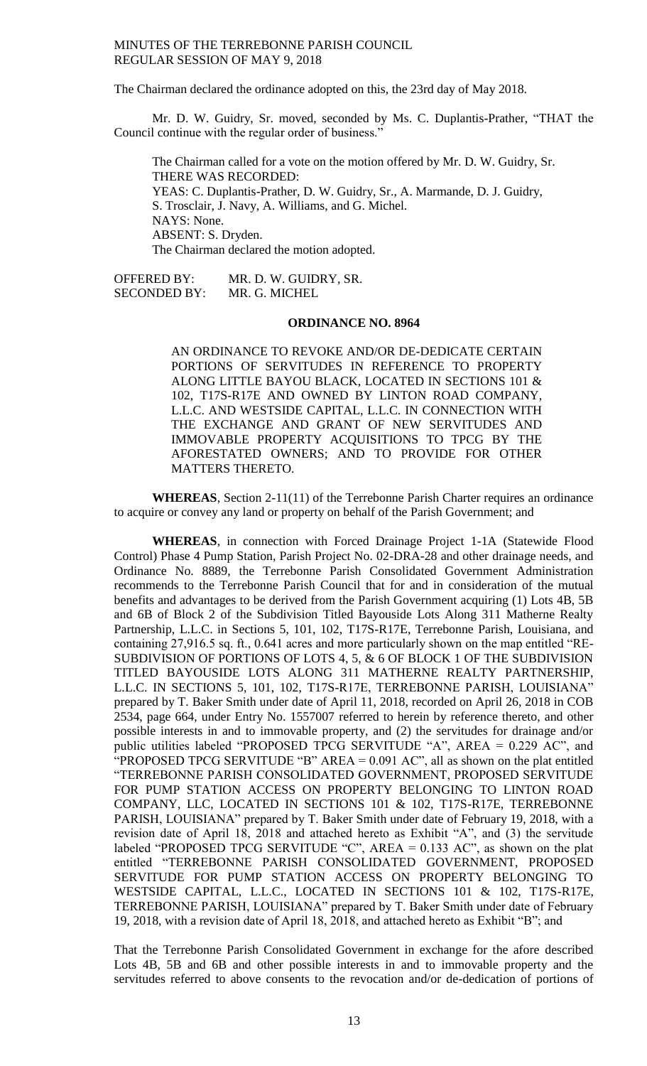The Chairman declared the ordinance adopted on this, the 23rd day of May 2018.

Mr. D. W. Guidry, Sr. moved, seconded by Ms. C. Duplantis-Prather, "THAT the Council continue with the regular order of business."

The Chairman called for a vote on the motion offered by Mr. D. W. Guidry, Sr. THERE WAS RECORDED: YEAS: C. Duplantis-Prather, D. W. Guidry, Sr., A. Marmande, D. J. Guidry, S. Trosclair, J. Navy, A. Williams, and G. Michel. NAYS: None. ABSENT: S. Dryden. The Chairman declared the motion adopted.

OFFERED BY: MR. D. W. GUIDRY, SR. SECONDED BY: MR. G. MICHEL

#### **ORDINANCE NO. 8964**

AN ORDINANCE TO REVOKE AND/OR DE-DEDICATE CERTAIN PORTIONS OF SERVITUDES IN REFERENCE TO PROPERTY ALONG LITTLE BAYOU BLACK, LOCATED IN SECTIONS 101 & 102, T17S-R17E AND OWNED BY LINTON ROAD COMPANY, L.L.C. AND WESTSIDE CAPITAL, L.L.C. IN CONNECTION WITH THE EXCHANGE AND GRANT OF NEW SERVITUDES AND IMMOVABLE PROPERTY ACQUISITIONS TO TPCG BY THE AFORESTATED OWNERS; AND TO PROVIDE FOR OTHER MATTERS THERETO.

**WHEREAS**, Section 2-11(11) of the Terrebonne Parish Charter requires an ordinance to acquire or convey any land or property on behalf of the Parish Government; and

**WHEREAS**, in connection with Forced Drainage Project 1-1A (Statewide Flood Control) Phase 4 Pump Station, Parish Project No. 02-DRA-28 and other drainage needs, and Ordinance No. 8889, the Terrebonne Parish Consolidated Government Administration recommends to the Terrebonne Parish Council that for and in consideration of the mutual benefits and advantages to be derived from the Parish Government acquiring (1) Lots 4B, 5B and 6B of Block 2 of the Subdivision Titled Bayouside Lots Along 311 Matherne Realty Partnership, L.L.C. in Sections 5, 101, 102, T17S-R17E, Terrebonne Parish, Louisiana, and containing 27,916.5 sq. ft., 0.641 acres and more particularly shown on the map entitled "RE-SUBDIVISION OF PORTIONS OF LOTS 4, 5, & 6 OF BLOCK 1 OF THE SUBDIVISION TITLED BAYOUSIDE LOTS ALONG 311 MATHERNE REALTY PARTNERSHIP, L.L.C. IN SECTIONS 5, 101, 102, T17S-R17E, TERREBONNE PARISH, LOUISIANA" prepared by T. Baker Smith under date of April 11, 2018, recorded on April 26, 2018 in COB 2534, page 664, under Entry No. 1557007 referred to herein by reference thereto, and other possible interests in and to immovable property, and (2) the servitudes for drainage and/or public utilities labeled "PROPOSED TPCG SERVITUDE "A", AREA = 0.229 AC", and "PROPOSED TPCG SERVITUDE "B"  $AREA = 0.091 AC$ ", all as shown on the plat entitled "TERREBONNE PARISH CONSOLIDATED GOVERNMENT, PROPOSED SERVITUDE FOR PUMP STATION ACCESS ON PROPERTY BELONGING TO LINTON ROAD COMPANY, LLC, LOCATED IN SECTIONS 101 & 102, T17S-R17E, TERREBONNE PARISH, LOUISIANA" prepared by T. Baker Smith under date of February 19, 2018, with a revision date of April 18, 2018 and attached hereto as Exhibit "A", and (3) the servitude labeled "PROPOSED TPCG SERVITUDE "C", AREA =  $0.133$  AC", as shown on the plat entitled "TERREBONNE PARISH CONSOLIDATED GOVERNMENT, PROPOSED SERVITUDE FOR PUMP STATION ACCESS ON PROPERTY BELONGING TO WESTSIDE CAPITAL, L.L.C., LOCATED IN SECTIONS 101 & 102, T17S-R17E, TERREBONNE PARISH, LOUISIANA" prepared by T. Baker Smith under date of February 19, 2018, with a revision date of April 18, 2018, and attached hereto as Exhibit "B"; and

That the Terrebonne Parish Consolidated Government in exchange for the afore described Lots 4B, 5B and 6B and other possible interests in and to immovable property and the servitudes referred to above consents to the revocation and/or de-dedication of portions of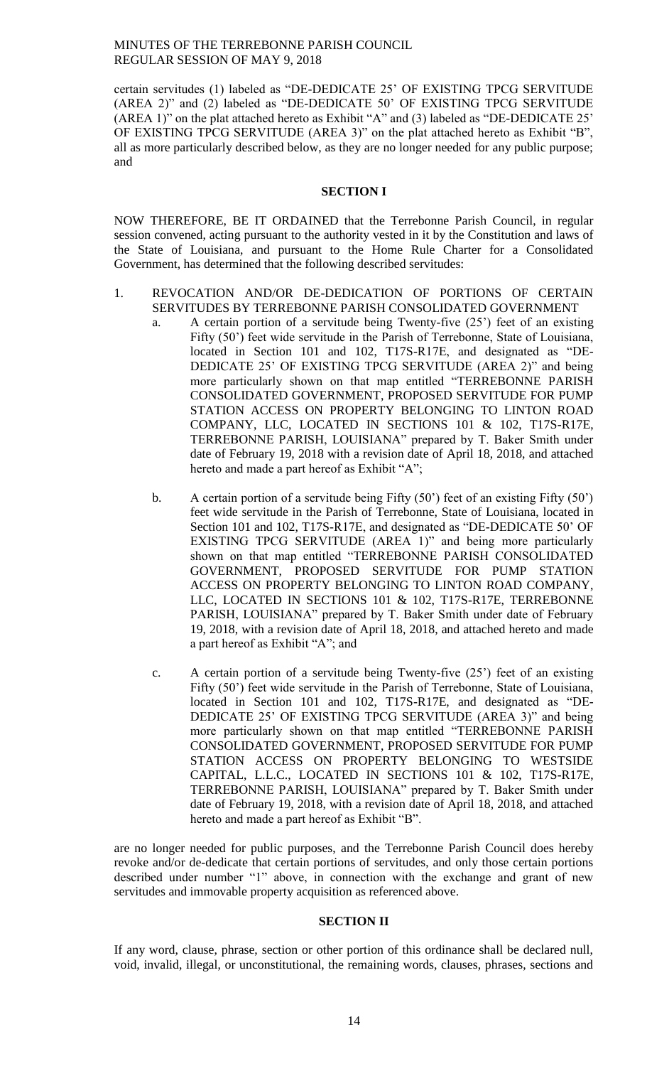certain servitudes (1) labeled as "DE-DEDICATE 25' OF EXISTING TPCG SERVITUDE (AREA 2)" and (2) labeled as "DE-DEDICATE 50' OF EXISTING TPCG SERVITUDE (AREA 1)" on the plat attached hereto as Exhibit "A" and (3) labeled as "DE-DEDICATE 25' OF EXISTING TPCG SERVITUDE (AREA 3)" on the plat attached hereto as Exhibit "B", all as more particularly described below, as they are no longer needed for any public purpose; and

#### **SECTION I**

NOW THEREFORE, BE IT ORDAINED that the Terrebonne Parish Council, in regular session convened, acting pursuant to the authority vested in it by the Constitution and laws of the State of Louisiana, and pursuant to the Home Rule Charter for a Consolidated Government, has determined that the following described servitudes:

# 1. REVOCATION AND/OR DE-DEDICATION OF PORTIONS OF CERTAIN SERVITUDES BY TERREBONNE PARISH CONSOLIDATED GOVERNMENT

- a. A certain portion of a servitude being Twenty-five (25') feet of an existing Fifty (50') feet wide servitude in the Parish of Terrebonne, State of Louisiana, located in Section 101 and 102, T17S-R17E, and designated as "DE-DEDICATE 25' OF EXISTING TPCG SERVITUDE (AREA 2)" and being more particularly shown on that map entitled "TERREBONNE PARISH CONSOLIDATED GOVERNMENT, PROPOSED SERVITUDE FOR PUMP STATION ACCESS ON PROPERTY BELONGING TO LINTON ROAD COMPANY, LLC, LOCATED IN SECTIONS 101 & 102, T17S-R17E, TERREBONNE PARISH, LOUISIANA" prepared by T. Baker Smith under date of February 19, 2018 with a revision date of April 18, 2018, and attached hereto and made a part hereof as Exhibit "A";
- b. A certain portion of a servitude being Fifty (50') feet of an existing Fifty (50') feet wide servitude in the Parish of Terrebonne, State of Louisiana, located in Section 101 and 102, T17S-R17E, and designated as "DE-DEDICATE 50' OF EXISTING TPCG SERVITUDE (AREA 1)" and being more particularly shown on that map entitled "TERREBONNE PARISH CONSOLIDATED GOVERNMENT, PROPOSED SERVITUDE FOR PUMP STATION ACCESS ON PROPERTY BELONGING TO LINTON ROAD COMPANY, LLC, LOCATED IN SECTIONS 101 & 102, T17S-R17E, TERREBONNE PARISH, LOUISIANA" prepared by T. Baker Smith under date of February 19, 2018, with a revision date of April 18, 2018, and attached hereto and made a part hereof as Exhibit "A"; and
- c. A certain portion of a servitude being Twenty-five (25') feet of an existing Fifty (50') feet wide servitude in the Parish of Terrebonne, State of Louisiana, located in Section 101 and 102, T17S-R17E, and designated as "DE-DEDICATE 25' OF EXISTING TPCG SERVITUDE (AREA 3)" and being more particularly shown on that map entitled "TERREBONNE PARISH CONSOLIDATED GOVERNMENT, PROPOSED SERVITUDE FOR PUMP STATION ACCESS ON PROPERTY BELONGING TO WESTSIDE CAPITAL, L.L.C., LOCATED IN SECTIONS 101 & 102, T17S-R17E, TERREBONNE PARISH, LOUISIANA" prepared by T. Baker Smith under date of February 19, 2018, with a revision date of April 18, 2018, and attached hereto and made a part hereof as Exhibit "B".

are no longer needed for public purposes, and the Terrebonne Parish Council does hereby revoke and/or de-dedicate that certain portions of servitudes, and only those certain portions described under number "1" above, in connection with the exchange and grant of new servitudes and immovable property acquisition as referenced above.

# **SECTION II**

If any word, clause, phrase, section or other portion of this ordinance shall be declared null, void, invalid, illegal, or unconstitutional, the remaining words, clauses, phrases, sections and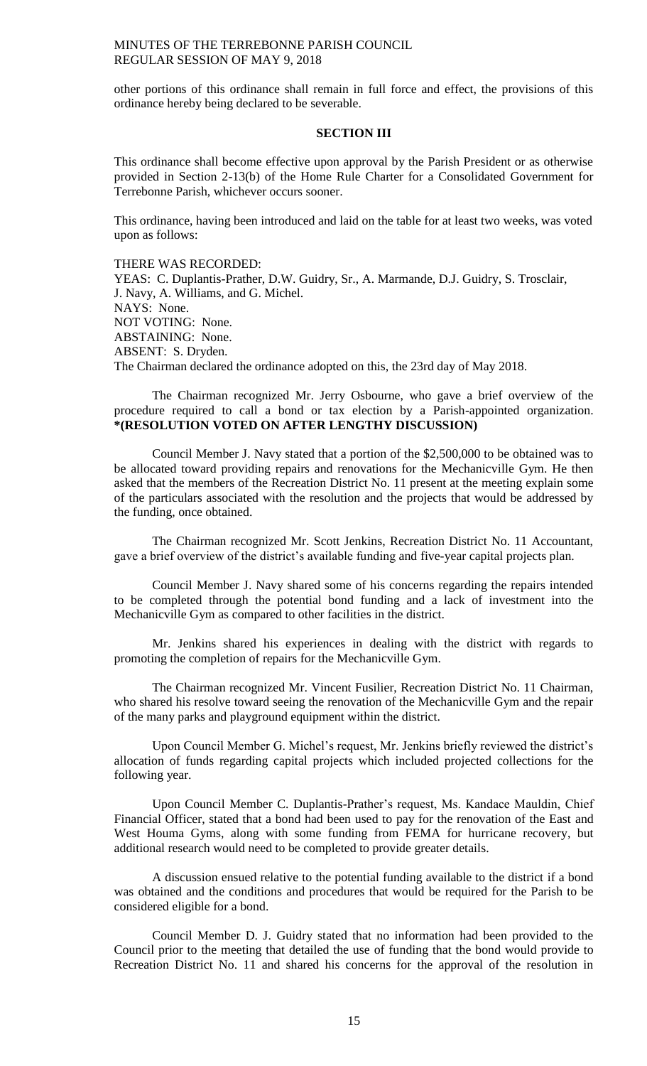other portions of this ordinance shall remain in full force and effect, the provisions of this ordinance hereby being declared to be severable.

# **SECTION III**

This ordinance shall become effective upon approval by the Parish President or as otherwise provided in Section 2-13(b) of the Home Rule Charter for a Consolidated Government for Terrebonne Parish, whichever occurs sooner.

This ordinance, having been introduced and laid on the table for at least two weeks, was voted upon as follows:

THERE WAS RECORDED: YEAS: C. Duplantis-Prather, D.W. Guidry, Sr., A. Marmande, D.J. Guidry, S. Trosclair, J. Navy, A. Williams, and G. Michel. NAYS: None. NOT VOTING: None. ABSTAINING: None. ABSENT: S. Dryden. The Chairman declared the ordinance adopted on this, the 23rd day of May 2018.

The Chairman recognized Mr. Jerry Osbourne, who gave a brief overview of the procedure required to call a bond or tax election by a Parish-appointed organization. **\*(RESOLUTION VOTED ON AFTER LENGTHY DISCUSSION)**

Council Member J. Navy stated that a portion of the \$2,500,000 to be obtained was to be allocated toward providing repairs and renovations for the Mechanicville Gym. He then asked that the members of the Recreation District No. 11 present at the meeting explain some of the particulars associated with the resolution and the projects that would be addressed by the funding, once obtained.

The Chairman recognized Mr. Scott Jenkins, Recreation District No. 11 Accountant, gave a brief overview of the district's available funding and five-year capital projects plan.

Council Member J. Navy shared some of his concerns regarding the repairs intended to be completed through the potential bond funding and a lack of investment into the Mechanicville Gym as compared to other facilities in the district.

Mr. Jenkins shared his experiences in dealing with the district with regards to promoting the completion of repairs for the Mechanicville Gym.

The Chairman recognized Mr. Vincent Fusilier, Recreation District No. 11 Chairman, who shared his resolve toward seeing the renovation of the Mechanicville Gym and the repair of the many parks and playground equipment within the district.

Upon Council Member G. Michel's request, Mr. Jenkins briefly reviewed the district's allocation of funds regarding capital projects which included projected collections for the following year.

Upon Council Member C. Duplantis-Prather's request, Ms. Kandace Mauldin, Chief Financial Officer, stated that a bond had been used to pay for the renovation of the East and West Houma Gyms, along with some funding from FEMA for hurricane recovery, but additional research would need to be completed to provide greater details.

A discussion ensued relative to the potential funding available to the district if a bond was obtained and the conditions and procedures that would be required for the Parish to be considered eligible for a bond.

Council Member D. J. Guidry stated that no information had been provided to the Council prior to the meeting that detailed the use of funding that the bond would provide to Recreation District No. 11 and shared his concerns for the approval of the resolution in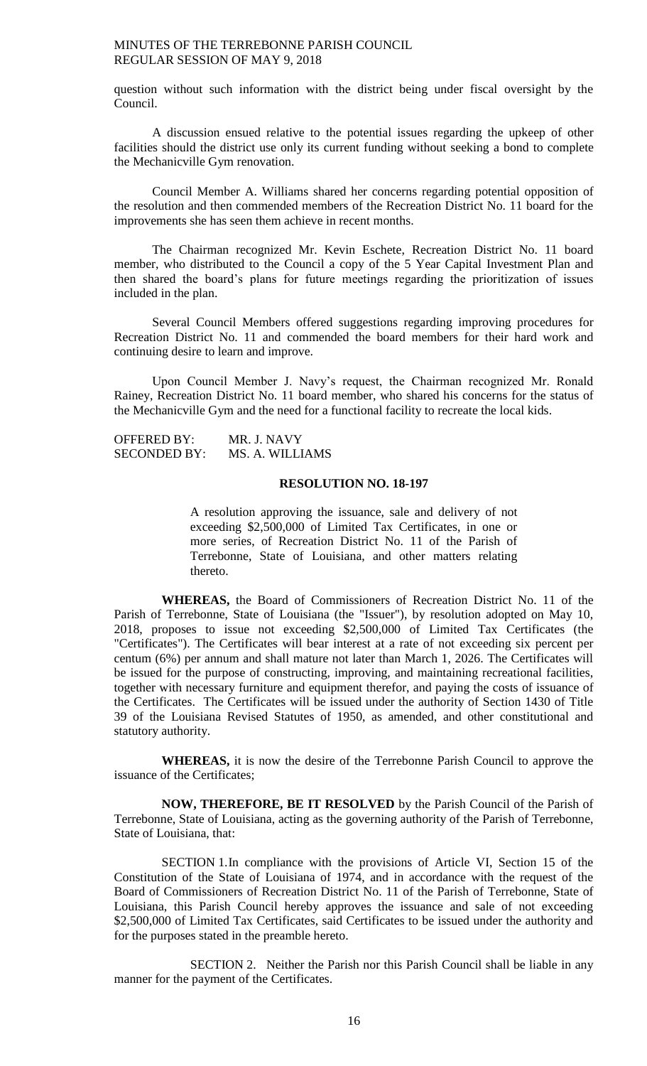question without such information with the district being under fiscal oversight by the Council.

A discussion ensued relative to the potential issues regarding the upkeep of other facilities should the district use only its current funding without seeking a bond to complete the Mechanicville Gym renovation.

Council Member A. Williams shared her concerns regarding potential opposition of the resolution and then commended members of the Recreation District No. 11 board for the improvements she has seen them achieve in recent months.

The Chairman recognized Mr. Kevin Eschete, Recreation District No. 11 board member, who distributed to the Council a copy of the 5 Year Capital Investment Plan and then shared the board's plans for future meetings regarding the prioritization of issues included in the plan.

Several Council Members offered suggestions regarding improving procedures for Recreation District No. 11 and commended the board members for their hard work and continuing desire to learn and improve.

Upon Council Member J. Navy's request, the Chairman recognized Mr. Ronald Rainey, Recreation District No. 11 board member, who shared his concerns for the status of the Mechanicville Gym and the need for a functional facility to recreate the local kids.

OFFERED BY: MR. J. NAVY SECONDED BY: MS. A. WILLIAMS

### **RESOLUTION NO. 18-197**

A resolution approving the issuance, sale and delivery of not exceeding \$2,500,000 of Limited Tax Certificates, in one or more series, of Recreation District No. 11 of the Parish of Terrebonne, State of Louisiana, and other matters relating thereto.

**WHEREAS,** the Board of Commissioners of Recreation District No. 11 of the Parish of Terrebonne, State of Louisiana (the "Issuer"), by resolution adopted on May 10, 2018, proposes to issue not exceeding \$2,500,000 of Limited Tax Certificates (the "Certificates"). The Certificates will bear interest at a rate of not exceeding six percent per centum (6%) per annum and shall mature not later than March 1, 2026. The Certificates will be issued for the purpose of constructing, improving, and maintaining recreational facilities, together with necessary furniture and equipment therefor, and paying the costs of issuance of the Certificates. The Certificates will be issued under the authority of Section 1430 of Title 39 of the Louisiana Revised Statutes of 1950, as amended, and other constitutional and statutory authority.

**WHEREAS,** it is now the desire of the Terrebonne Parish Council to approve the issuance of the Certificates;

**NOW, THEREFORE, BE IT RESOLVED** by the Parish Council of the Parish of Terrebonne, State of Louisiana, acting as the governing authority of the Parish of Terrebonne, State of Louisiana, that:

SECTION 1.In compliance with the provisions of Article VI, Section 15 of the Constitution of the State of Louisiana of 1974, and in accordance with the request of the Board of Commissioners of Recreation District No. 11 of the Parish of Terrebonne, State of Louisiana, this Parish Council hereby approves the issuance and sale of not exceeding \$2,500,000 of Limited Tax Certificates, said Certificates to be issued under the authority and for the purposes stated in the preamble hereto.

SECTION 2. Neither the Parish nor this Parish Council shall be liable in any manner for the payment of the Certificates.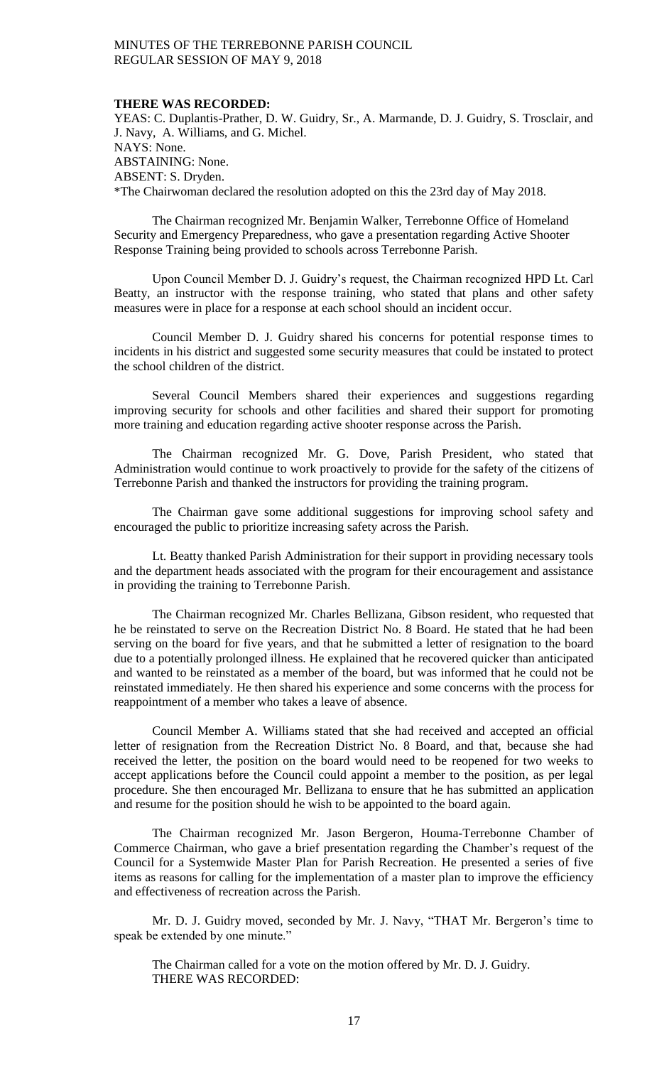#### **THERE WAS RECORDED:**

YEAS: C. Duplantis-Prather, D. W. Guidry, Sr., A. Marmande, D. J. Guidry, S. Trosclair, and J. Navy, A. Williams, and G. Michel. NAYS: None. ABSTAINING: None. ABSENT: S. Dryden. \*The Chairwoman declared the resolution adopted on this the 23rd day of May 2018.

The Chairman recognized Mr. Benjamin Walker, Terrebonne Office of Homeland Security and Emergency Preparedness, who gave a presentation regarding Active Shooter Response Training being provided to schools across Terrebonne Parish.

Upon Council Member D. J. Guidry's request, the Chairman recognized HPD Lt. Carl Beatty, an instructor with the response training, who stated that plans and other safety measures were in place for a response at each school should an incident occur.

Council Member D. J. Guidry shared his concerns for potential response times to incidents in his district and suggested some security measures that could be instated to protect the school children of the district.

Several Council Members shared their experiences and suggestions regarding improving security for schools and other facilities and shared their support for promoting more training and education regarding active shooter response across the Parish.

The Chairman recognized Mr. G. Dove, Parish President, who stated that Administration would continue to work proactively to provide for the safety of the citizens of Terrebonne Parish and thanked the instructors for providing the training program.

The Chairman gave some additional suggestions for improving school safety and encouraged the public to prioritize increasing safety across the Parish.

Lt. Beatty thanked Parish Administration for their support in providing necessary tools and the department heads associated with the program for their encouragement and assistance in providing the training to Terrebonne Parish.

The Chairman recognized Mr. Charles Bellizana, Gibson resident, who requested that he be reinstated to serve on the Recreation District No. 8 Board. He stated that he had been serving on the board for five years, and that he submitted a letter of resignation to the board due to a potentially prolonged illness. He explained that he recovered quicker than anticipated and wanted to be reinstated as a member of the board, but was informed that he could not be reinstated immediately. He then shared his experience and some concerns with the process for reappointment of a member who takes a leave of absence.

Council Member A. Williams stated that she had received and accepted an official letter of resignation from the Recreation District No. 8 Board, and that, because she had received the letter, the position on the board would need to be reopened for two weeks to accept applications before the Council could appoint a member to the position, as per legal procedure. She then encouraged Mr. Bellizana to ensure that he has submitted an application and resume for the position should he wish to be appointed to the board again.

The Chairman recognized Mr. Jason Bergeron, Houma-Terrebonne Chamber of Commerce Chairman, who gave a brief presentation regarding the Chamber's request of the Council for a Systemwide Master Plan for Parish Recreation. He presented a series of five items as reasons for calling for the implementation of a master plan to improve the efficiency and effectiveness of recreation across the Parish.

Mr. D. J. Guidry moved, seconded by Mr. J. Navy, "THAT Mr. Bergeron's time to speak be extended by one minute."

The Chairman called for a vote on the motion offered by Mr. D. J. Guidry. THERE WAS RECORDED: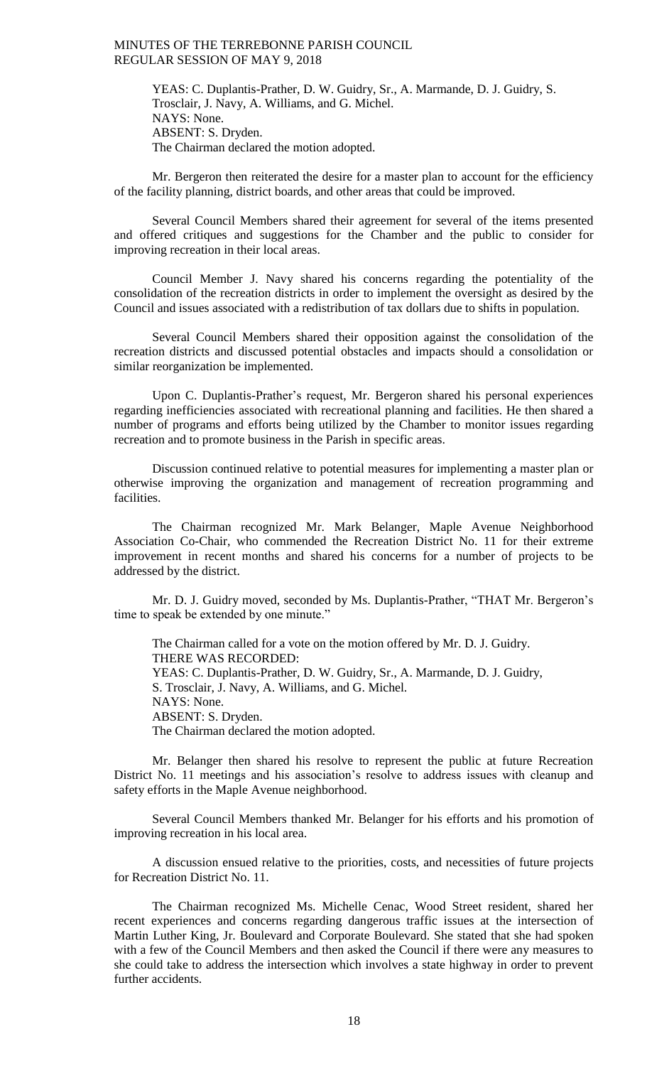YEAS: C. Duplantis-Prather, D. W. Guidry, Sr., A. Marmande, D. J. Guidry, S. Trosclair, J. Navy, A. Williams, and G. Michel. NAYS: None. ABSENT: S. Dryden. The Chairman declared the motion adopted.

Mr. Bergeron then reiterated the desire for a master plan to account for the efficiency of the facility planning, district boards, and other areas that could be improved.

Several Council Members shared their agreement for several of the items presented and offered critiques and suggestions for the Chamber and the public to consider for improving recreation in their local areas.

Council Member J. Navy shared his concerns regarding the potentiality of the consolidation of the recreation districts in order to implement the oversight as desired by the Council and issues associated with a redistribution of tax dollars due to shifts in population.

Several Council Members shared their opposition against the consolidation of the recreation districts and discussed potential obstacles and impacts should a consolidation or similar reorganization be implemented.

Upon C. Duplantis-Prather's request, Mr. Bergeron shared his personal experiences regarding inefficiencies associated with recreational planning and facilities. He then shared a number of programs and efforts being utilized by the Chamber to monitor issues regarding recreation and to promote business in the Parish in specific areas.

Discussion continued relative to potential measures for implementing a master plan or otherwise improving the organization and management of recreation programming and facilities.

The Chairman recognized Mr. Mark Belanger, Maple Avenue Neighborhood Association Co-Chair, who commended the Recreation District No. 11 for their extreme improvement in recent months and shared his concerns for a number of projects to be addressed by the district.

Mr. D. J. Guidry moved, seconded by Ms. Duplantis-Prather, "THAT Mr. Bergeron's time to speak be extended by one minute."

The Chairman called for a vote on the motion offered by Mr. D. J. Guidry. THERE WAS RECORDED: YEAS: C. Duplantis-Prather, D. W. Guidry, Sr., A. Marmande, D. J. Guidry, S. Trosclair, J. Navy, A. Williams, and G. Michel. NAYS: None. ABSENT: S. Dryden. The Chairman declared the motion adopted.

Mr. Belanger then shared his resolve to represent the public at future Recreation District No. 11 meetings and his association's resolve to address issues with cleanup and safety efforts in the Maple Avenue neighborhood.

Several Council Members thanked Mr. Belanger for his efforts and his promotion of improving recreation in his local area.

A discussion ensued relative to the priorities, costs, and necessities of future projects for Recreation District No. 11.

The Chairman recognized Ms. Michelle Cenac, Wood Street resident, shared her recent experiences and concerns regarding dangerous traffic issues at the intersection of Martin Luther King, Jr. Boulevard and Corporate Boulevard. She stated that she had spoken with a few of the Council Members and then asked the Council if there were any measures to she could take to address the intersection which involves a state highway in order to prevent further accidents.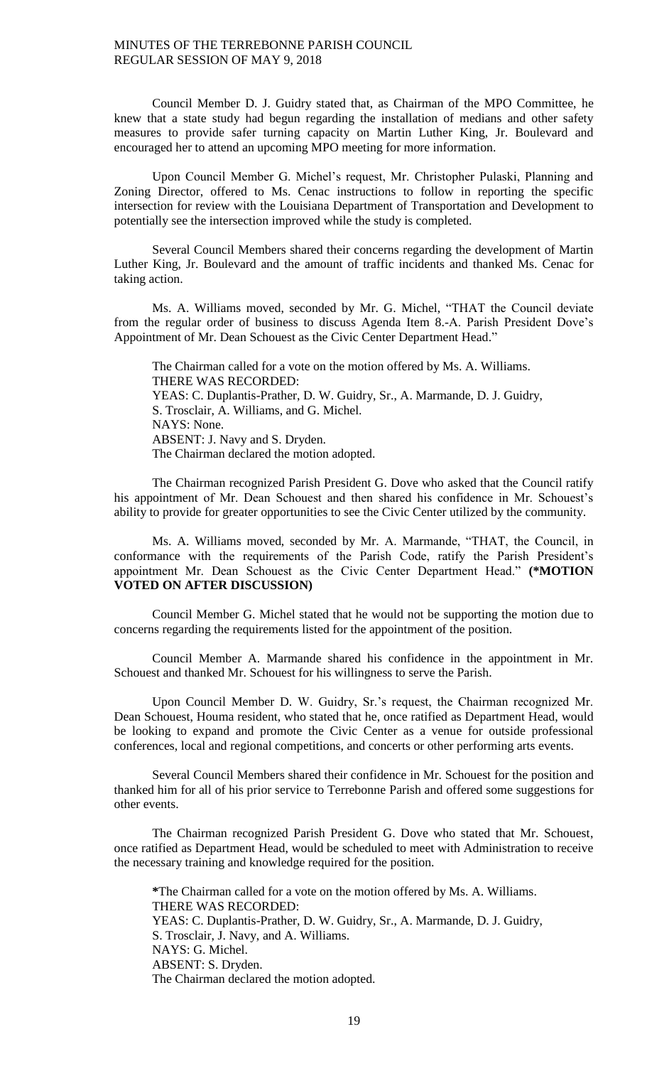Council Member D. J. Guidry stated that, as Chairman of the MPO Committee, he knew that a state study had begun regarding the installation of medians and other safety measures to provide safer turning capacity on Martin Luther King, Jr. Boulevard and encouraged her to attend an upcoming MPO meeting for more information.

Upon Council Member G. Michel's request, Mr. Christopher Pulaski, Planning and Zoning Director, offered to Ms. Cenac instructions to follow in reporting the specific intersection for review with the Louisiana Department of Transportation and Development to potentially see the intersection improved while the study is completed.

Several Council Members shared their concerns regarding the development of Martin Luther King, Jr. Boulevard and the amount of traffic incidents and thanked Ms. Cenac for taking action.

Ms. A. Williams moved, seconded by Mr. G. Michel, "THAT the Council deviate from the regular order of business to discuss Agenda Item 8.-A. Parish President Dove's Appointment of Mr. Dean Schouest as the Civic Center Department Head."

The Chairman called for a vote on the motion offered by Ms. A. Williams. THERE WAS RECORDED: YEAS: C. Duplantis-Prather, D. W. Guidry, Sr., A. Marmande, D. J. Guidry, S. Trosclair, A. Williams, and G. Michel. NAYS: None. ABSENT: J. Navy and S. Dryden. The Chairman declared the motion adopted.

The Chairman recognized Parish President G. Dove who asked that the Council ratify his appointment of Mr. Dean Schouest and then shared his confidence in Mr. Schouest's ability to provide for greater opportunities to see the Civic Center utilized by the community.

Ms. A. Williams moved, seconded by Mr. A. Marmande, "THAT, the Council, in conformance with the requirements of the Parish Code, ratify the Parish President's appointment Mr. Dean Schouest as the Civic Center Department Head." **(\*MOTION VOTED ON AFTER DISCUSSION)**

Council Member G. Michel stated that he would not be supporting the motion due to concerns regarding the requirements listed for the appointment of the position.

Council Member A. Marmande shared his confidence in the appointment in Mr. Schouest and thanked Mr. Schouest for his willingness to serve the Parish.

Upon Council Member D. W. Guidry, Sr.'s request, the Chairman recognized Mr. Dean Schouest, Houma resident, who stated that he, once ratified as Department Head, would be looking to expand and promote the Civic Center as a venue for outside professional conferences, local and regional competitions, and concerts or other performing arts events.

Several Council Members shared their confidence in Mr. Schouest for the position and thanked him for all of his prior service to Terrebonne Parish and offered some suggestions for other events.

The Chairman recognized Parish President G. Dove who stated that Mr. Schouest, once ratified as Department Head, would be scheduled to meet with Administration to receive the necessary training and knowledge required for the position.

**\***The Chairman called for a vote on the motion offered by Ms. A. Williams. THERE WAS RECORDED: YEAS: C. Duplantis-Prather, D. W. Guidry, Sr., A. Marmande, D. J. Guidry, S. Trosclair, J. Navy, and A. Williams. NAYS: G. Michel. ABSENT: S. Dryden. The Chairman declared the motion adopted.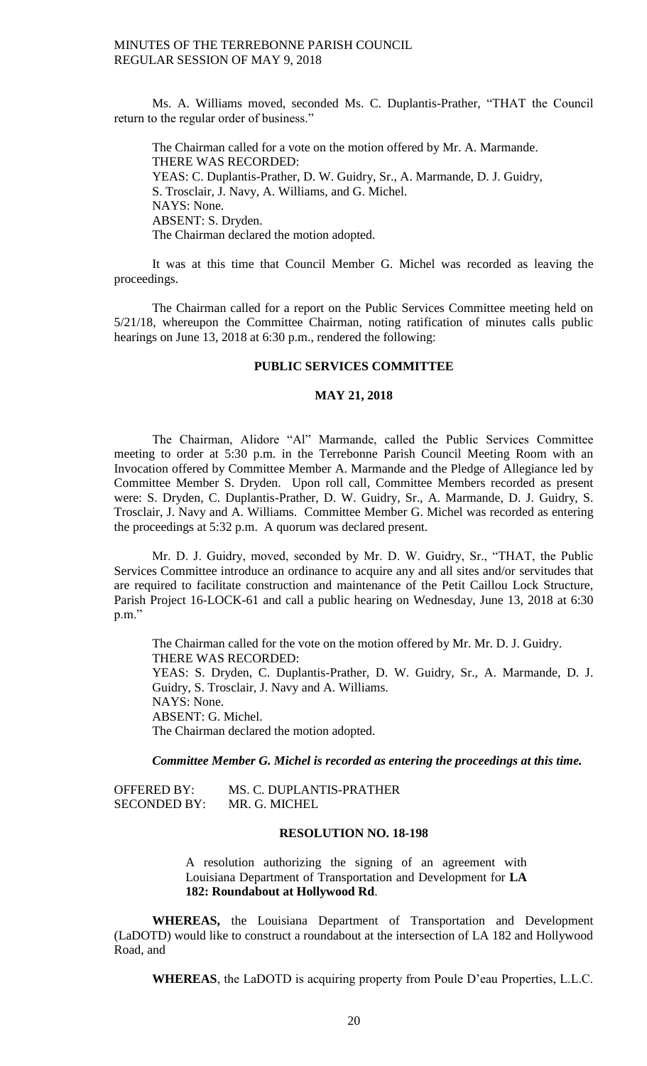Ms. A. Williams moved, seconded Ms. C. Duplantis-Prather, "THAT the Council return to the regular order of business."

The Chairman called for a vote on the motion offered by Mr. A. Marmande. THERE WAS RECORDED: YEAS: C. Duplantis-Prather, D. W. Guidry, Sr., A. Marmande, D. J. Guidry, S. Trosclair, J. Navy, A. Williams, and G. Michel. NAYS: None. ABSENT: S. Dryden. The Chairman declared the motion adopted.

It was at this time that Council Member G. Michel was recorded as leaving the proceedings.

The Chairman called for a report on the Public Services Committee meeting held on 5/21/18, whereupon the Committee Chairman, noting ratification of minutes calls public hearings on June 13, 2018 at 6:30 p.m., rendered the following:

# **PUBLIC SERVICES COMMITTEE**

### **MAY 21, 2018**

The Chairman, Alidore "Al" Marmande, called the Public Services Committee meeting to order at 5:30 p.m. in the Terrebonne Parish Council Meeting Room with an Invocation offered by Committee Member A. Marmande and the Pledge of Allegiance led by Committee Member S. Dryden. Upon roll call, Committee Members recorded as present were: S. Dryden, C. Duplantis-Prather, D. W. Guidry, Sr., A. Marmande, D. J. Guidry, S. Trosclair, J. Navy and A. Williams. Committee Member G. Michel was recorded as entering the proceedings at 5:32 p.m. A quorum was declared present.

Mr. D. J. Guidry, moved, seconded by Mr. D. W. Guidry, Sr., "THAT, the Public Services Committee introduce an ordinance to acquire any and all sites and/or servitudes that are required to facilitate construction and maintenance of the Petit Caillou Lock Structure, Parish Project 16-LOCK-61 and call a public hearing on Wednesday, June 13, 2018 at 6:30 p.m."

The Chairman called for the vote on the motion offered by Mr. Mr. D. J. Guidry. THERE WAS RECORDED: YEAS: S. Dryden, C. Duplantis-Prather, D. W. Guidry, Sr., A. Marmande, D. J. Guidry, S. Trosclair, J. Navy and A. Williams. NAYS: None. ABSENT: G. Michel. The Chairman declared the motion adopted.

*Committee Member G. Michel is recorded as entering the proceedings at this time.* 

| OFFERED BY:         | MS. C. DUPLANTIS-PRATHER |
|---------------------|--------------------------|
| <b>SECONDED BY:</b> | MR. G. MICHEL            |

## **RESOLUTION NO. 18-198**

A resolution authorizing the signing of an agreement with Louisiana Department of Transportation and Development for **LA 182: Roundabout at Hollywood Rd**.

**WHEREAS,** the Louisiana Department of Transportation and Development (LaDOTD) would like to construct a roundabout at the intersection of LA 182 and Hollywood Road, and

**WHEREAS**, the LaDOTD is acquiring property from Poule D'eau Properties, L.L.C.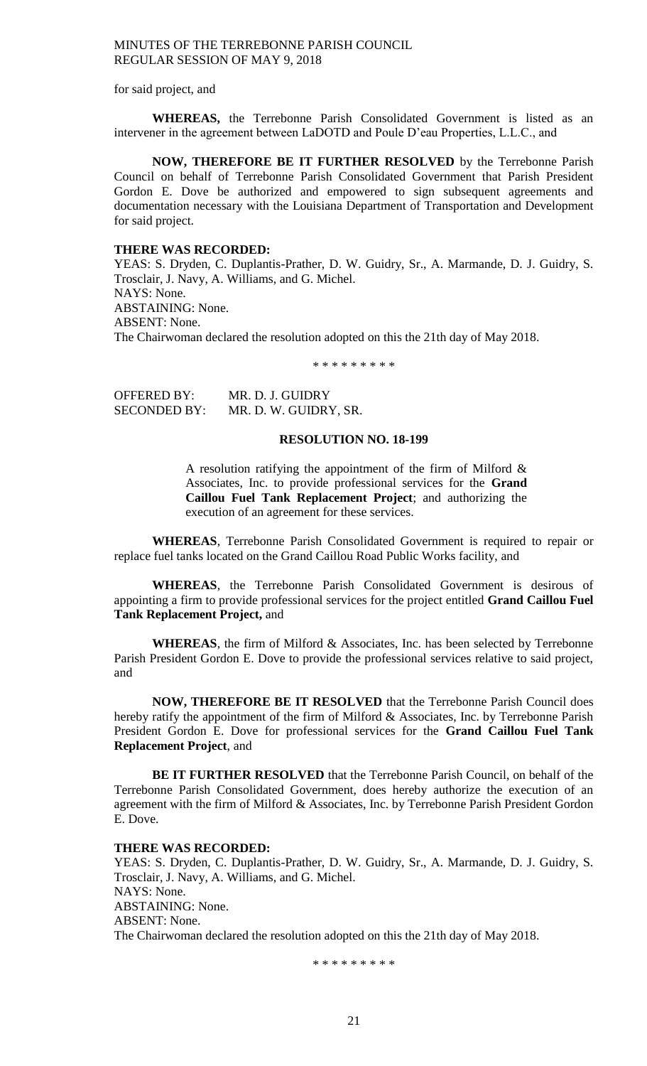for said project, and

**WHEREAS,** the Terrebonne Parish Consolidated Government is listed as an intervener in the agreement between LaDOTD and Poule D'eau Properties, L.L.C., and

**NOW, THEREFORE BE IT FURTHER RESOLVED** by the Terrebonne Parish Council on behalf of Terrebonne Parish Consolidated Government that Parish President Gordon E. Dove be authorized and empowered to sign subsequent agreements and documentation necessary with the Louisiana Department of Transportation and Development for said project.

#### **THERE WAS RECORDED:**

YEAS: S. Dryden, C. Duplantis-Prather, D. W. Guidry, Sr., A. Marmande, D. J. Guidry, S. Trosclair, J. Navy, A. Williams, and G. Michel. NAYS: None. ABSTAINING: None. ABSENT: None. The Chairwoman declared the resolution adopted on this the 21th day of May 2018.

\* \* \* \* \* \* \* \* \*

OFFERED BY: MR. D. J. GUIDRY SECONDED BY: MR. D. W. GUIDRY, SR.

#### **RESOLUTION NO. 18-199**

A resolution ratifying the appointment of the firm of Milford  $\&$ Associates, Inc. to provide professional services for the **Grand Caillou Fuel Tank Replacement Project**; and authorizing the execution of an agreement for these services.

**WHEREAS**, Terrebonne Parish Consolidated Government is required to repair or replace fuel tanks located on the Grand Caillou Road Public Works facility, and

**WHEREAS**, the Terrebonne Parish Consolidated Government is desirous of appointing a firm to provide professional services for the project entitled **Grand Caillou Fuel Tank Replacement Project,** and

**WHEREAS**, the firm of Milford & Associates, Inc. has been selected by Terrebonne Parish President Gordon E. Dove to provide the professional services relative to said project, and

**NOW, THEREFORE BE IT RESOLVED** that the Terrebonne Parish Council does hereby ratify the appointment of the firm of Milford & Associates, Inc. by Terrebonne Parish President Gordon E. Dove for professional services for the **Grand Caillou Fuel Tank Replacement Project**, and

**BE IT FURTHER RESOLVED** that the Terrebonne Parish Council, on behalf of the Terrebonne Parish Consolidated Government, does hereby authorize the execution of an agreement with the firm of Milford & Associates, Inc. by Terrebonne Parish President Gordon E. Dove.

### **THERE WAS RECORDED:**

YEAS: S. Dryden, C. Duplantis-Prather, D. W. Guidry, Sr., A. Marmande, D. J. Guidry, S. Trosclair, J. Navy, A. Williams, and G. Michel. NAYS: None. ABSTAINING: None. ABSENT: None. The Chairwoman declared the resolution adopted on this the 21th day of May 2018.

\* \* \* \* \* \* \* \* \*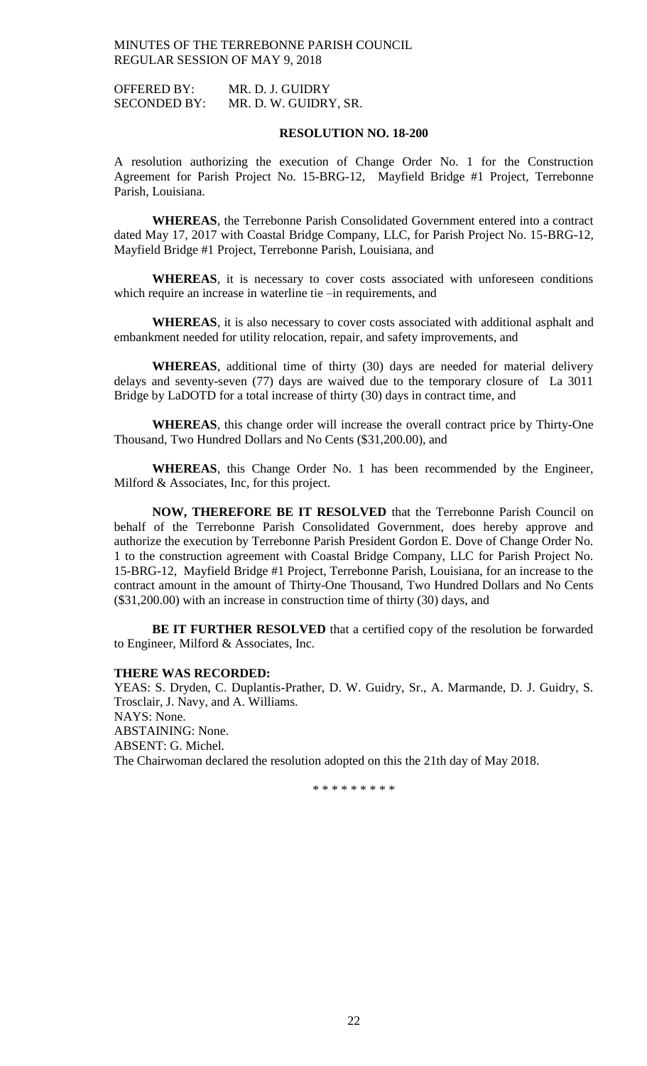OFFERED BY: MR. D. J. GUIDRY SECONDED BY: MR. D. W. GUIDRY, SR.

#### **RESOLUTION NO. 18-200**

A resolution authorizing the execution of Change Order No. 1 for the Construction Agreement for Parish Project No. 15-BRG-12, Mayfield Bridge #1 Project, Terrebonne Parish, Louisiana.

**WHEREAS**, the Terrebonne Parish Consolidated Government entered into a contract dated May 17, 2017 with Coastal Bridge Company, LLC, for Parish Project No. 15-BRG-12, Mayfield Bridge #1 Project, Terrebonne Parish, Louisiana, and

WHEREAS, it is necessary to cover costs associated with unforeseen conditions which require an increase in waterline tie –in requirements, and

**WHEREAS**, it is also necessary to cover costs associated with additional asphalt and embankment needed for utility relocation, repair, and safety improvements, and

**WHEREAS**, additional time of thirty (30) days are needed for material delivery delays and seventy-seven (77) days are waived due to the temporary closure of La 3011 Bridge by LaDOTD for a total increase of thirty (30) days in contract time, and

**WHEREAS**, this change order will increase the overall contract price by Thirty-One Thousand, Two Hundred Dollars and No Cents (\$31,200.00), and

**WHEREAS**, this Change Order No. 1 has been recommended by the Engineer, Milford & Associates, Inc, for this project.

**NOW, THEREFORE BE IT RESOLVED** that the Terrebonne Parish Council on behalf of the Terrebonne Parish Consolidated Government, does hereby approve and authorize the execution by Terrebonne Parish President Gordon E. Dove of Change Order No. 1 to the construction agreement with Coastal Bridge Company, LLC for Parish Project No. 15-BRG-12, Mayfield Bridge #1 Project, Terrebonne Parish, Louisiana, for an increase to the contract amount in the amount of Thirty-One Thousand, Two Hundred Dollars and No Cents (\$31,200.00) with an increase in construction time of thirty (30) days, and

**BE IT FURTHER RESOLVED** that a certified copy of the resolution be forwarded to Engineer, Milford & Associates, Inc.

#### **THERE WAS RECORDED:**

YEAS: S. Dryden, C. Duplantis-Prather, D. W. Guidry, Sr., A. Marmande, D. J. Guidry, S. Trosclair, J. Navy, and A. Williams. NAYS: None. ABSTAINING: None. ABSENT: G. Michel. The Chairwoman declared the resolution adopted on this the 21th day of May 2018.

\* \* \* \* \* \* \* \* \*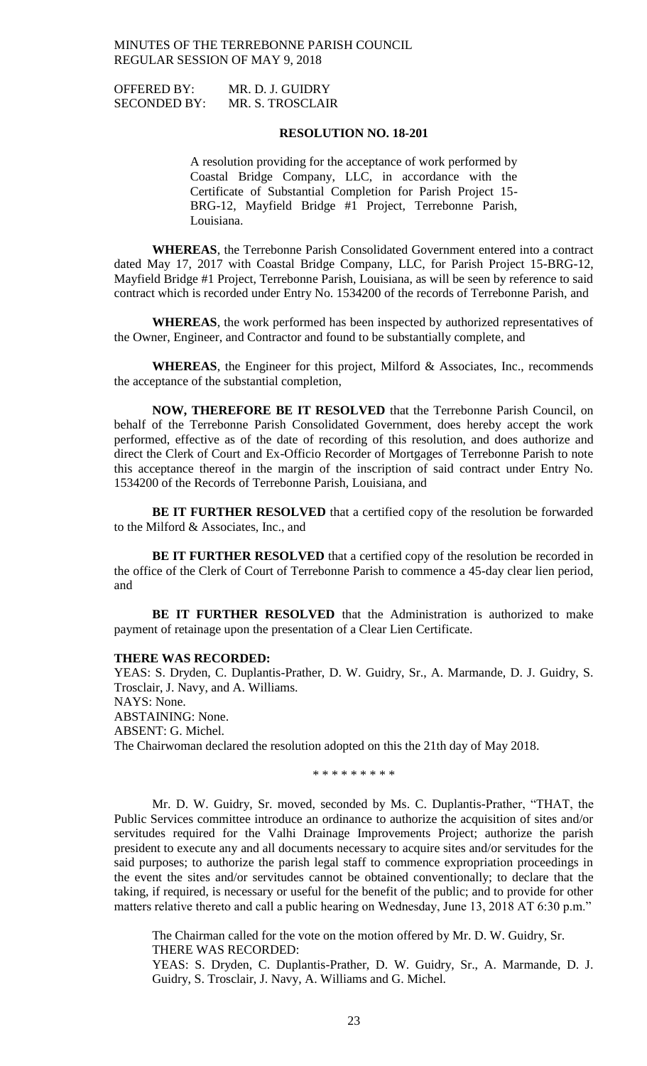| OFFERED BY:         | MR. D. J. GUIDRY |
|---------------------|------------------|
| <b>SECONDED BY:</b> | MR. S. TROSCLAIR |

#### **RESOLUTION NO. 18-201**

A resolution providing for the acceptance of work performed by Coastal Bridge Company, LLC, in accordance with the Certificate of Substantial Completion for Parish Project 15- BRG-12, Mayfield Bridge #1 Project, Terrebonne Parish, Louisiana.

**WHEREAS**, the Terrebonne Parish Consolidated Government entered into a contract dated May 17, 2017 with Coastal Bridge Company, LLC, for Parish Project 15-BRG-12, Mayfield Bridge #1 Project, Terrebonne Parish, Louisiana, as will be seen by reference to said contract which is recorded under Entry No. 1534200 of the records of Terrebonne Parish, and

**WHEREAS**, the work performed has been inspected by authorized representatives of the Owner, Engineer, and Contractor and found to be substantially complete, and

**WHEREAS**, the Engineer for this project, Milford & Associates, Inc., recommends the acceptance of the substantial completion,

**NOW, THEREFORE BE IT RESOLVED** that the Terrebonne Parish Council, on behalf of the Terrebonne Parish Consolidated Government, does hereby accept the work performed, effective as of the date of recording of this resolution, and does authorize and direct the Clerk of Court and Ex-Officio Recorder of Mortgages of Terrebonne Parish to note this acceptance thereof in the margin of the inscription of said contract under Entry No. 1534200 of the Records of Terrebonne Parish, Louisiana, and

**BE IT FURTHER RESOLVED** that a certified copy of the resolution be forwarded to the Milford & Associates, Inc., and

**BE IT FURTHER RESOLVED** that a certified copy of the resolution be recorded in the office of the Clerk of Court of Terrebonne Parish to commence a 45-day clear lien period, and

**BE IT FURTHER RESOLVED** that the Administration is authorized to make payment of retainage upon the presentation of a Clear Lien Certificate.

#### **THERE WAS RECORDED:**

YEAS: S. Dryden, C. Duplantis-Prather, D. W. Guidry, Sr., A. Marmande, D. J. Guidry, S. Trosclair, J. Navy, and A. Williams. NAYS: None. ABSTAINING: None. ABSENT: G. Michel. The Chairwoman declared the resolution adopted on this the 21th day of May 2018.

\* \* \* \* \* \* \* \* \*

Mr. D. W. Guidry, Sr. moved, seconded by Ms. C. Duplantis-Prather, "THAT, the Public Services committee introduce an ordinance to authorize the acquisition of sites and/or servitudes required for the Valhi Drainage Improvements Project; authorize the parish president to execute any and all documents necessary to acquire sites and/or servitudes for the said purposes; to authorize the parish legal staff to commence expropriation proceedings in the event the sites and/or servitudes cannot be obtained conventionally; to declare that the taking, if required, is necessary or useful for the benefit of the public; and to provide for other matters relative thereto and call a public hearing on Wednesday, June 13, 2018 AT 6:30 p.m."

The Chairman called for the vote on the motion offered by Mr. D. W. Guidry, Sr. THERE WAS RECORDED:

YEAS: S. Dryden, C. Duplantis-Prather, D. W. Guidry, Sr., A. Marmande, D. J. Guidry, S. Trosclair, J. Navy, A. Williams and G. Michel.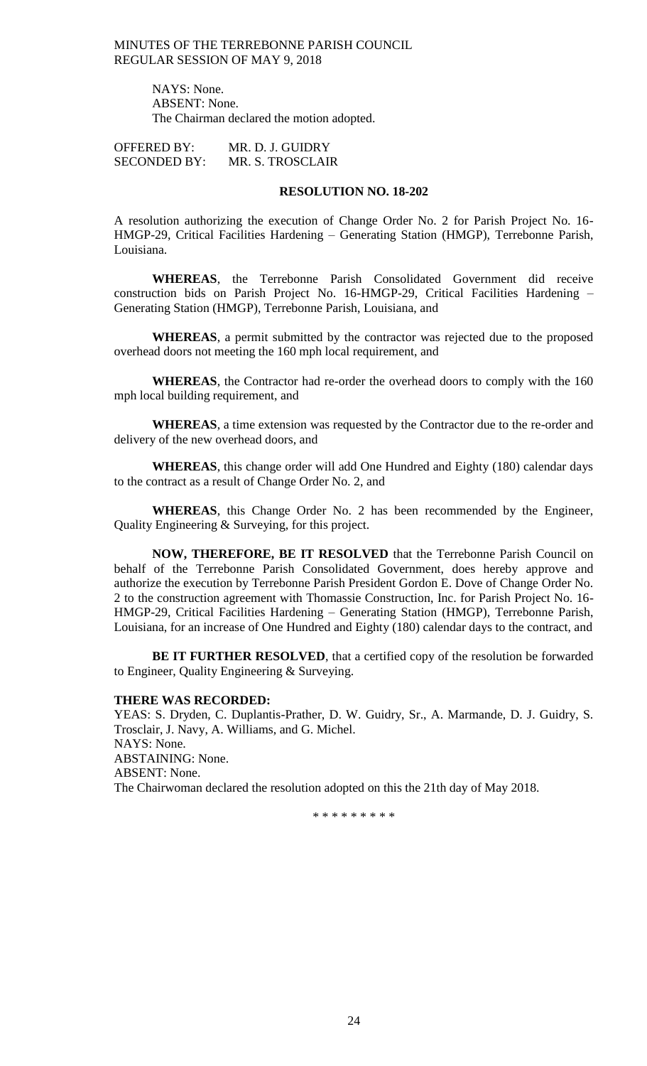> NAYS: None. ABSENT: None. The Chairman declared the motion adopted.

OFFERED BY: MR. D. J. GUIDRY SECONDED BY: MR. S. TROSCLAIR

# **RESOLUTION NO. 18-202**

A resolution authorizing the execution of Change Order No. 2 for Parish Project No. 16- HMGP-29, Critical Facilities Hardening – Generating Station (HMGP), Terrebonne Parish, Louisiana.

**WHEREAS**, the Terrebonne Parish Consolidated Government did receive construction bids on Parish Project No. 16-HMGP-29, Critical Facilities Hardening – Generating Station (HMGP), Terrebonne Parish, Louisiana, and

**WHEREAS**, a permit submitted by the contractor was rejected due to the proposed overhead doors not meeting the 160 mph local requirement, and

**WHEREAS**, the Contractor had re-order the overhead doors to comply with the 160 mph local building requirement, and

**WHEREAS**, a time extension was requested by the Contractor due to the re-order and delivery of the new overhead doors, and

**WHEREAS**, this change order will add One Hundred and Eighty (180) calendar days to the contract as a result of Change Order No. 2, and

**WHEREAS**, this Change Order No. 2 has been recommended by the Engineer, Quality Engineering & Surveying, for this project.

**NOW, THEREFORE, BE IT RESOLVED** that the Terrebonne Parish Council on behalf of the Terrebonne Parish Consolidated Government, does hereby approve and authorize the execution by Terrebonne Parish President Gordon E. Dove of Change Order No. 2 to the construction agreement with Thomassie Construction, Inc. for Parish Project No. 16- HMGP-29, Critical Facilities Hardening – Generating Station (HMGP), Terrebonne Parish, Louisiana, for an increase of One Hundred and Eighty (180) calendar days to the contract, and

**BE IT FURTHER RESOLVED**, that a certified copy of the resolution be forwarded to Engineer, Quality Engineering & Surveying.

#### **THERE WAS RECORDED:**

YEAS: S. Dryden, C. Duplantis-Prather, D. W. Guidry, Sr., A. Marmande, D. J. Guidry, S. Trosclair, J. Navy, A. Williams, and G. Michel. NAYS: None. ABSTAINING: None. ABSENT: None. The Chairwoman declared the resolution adopted on this the 21th day of May 2018.

\* \* \* \* \* \* \* \* \*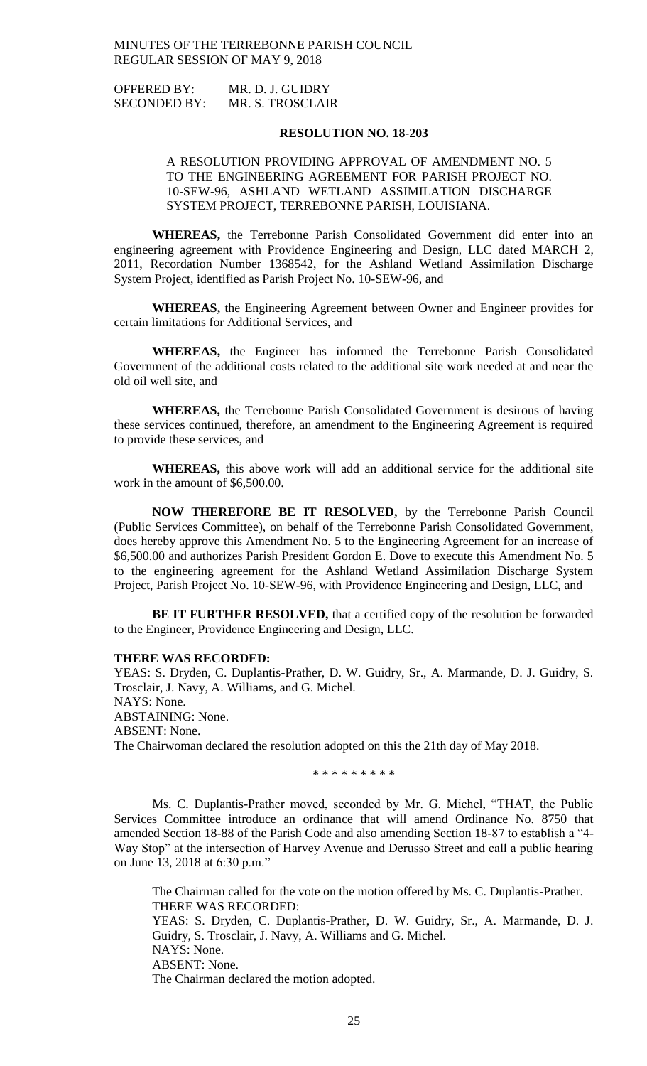| <b>OFFERED BY:</b>  | MR. D. J. GUIDRY |
|---------------------|------------------|
| <b>SECONDED BY:</b> | MR. S. TROSCLAIR |

#### **RESOLUTION NO. 18-203**

# A RESOLUTION PROVIDING APPROVAL OF AMENDMENT NO. 5 TO THE ENGINEERING AGREEMENT FOR PARISH PROJECT NO. 10-SEW-96, ASHLAND WETLAND ASSIMILATION DISCHARGE SYSTEM PROJECT, TERREBONNE PARISH, LOUISIANA.

**WHEREAS,** the Terrebonne Parish Consolidated Government did enter into an engineering agreement with Providence Engineering and Design, LLC dated MARCH 2, 2011, Recordation Number 1368542, for the Ashland Wetland Assimilation Discharge System Project, identified as Parish Project No. 10-SEW-96, and

**WHEREAS,** the Engineering Agreement between Owner and Engineer provides for certain limitations for Additional Services, and

**WHEREAS,** the Engineer has informed the Terrebonne Parish Consolidated Government of the additional costs related to the additional site work needed at and near the old oil well site, and

**WHEREAS,** the Terrebonne Parish Consolidated Government is desirous of having these services continued, therefore, an amendment to the Engineering Agreement is required to provide these services, and

**WHEREAS,** this above work will add an additional service for the additional site work in the amount of \$6,500.00.

**NOW THEREFORE BE IT RESOLVED,** by the Terrebonne Parish Council (Public Services Committee), on behalf of the Terrebonne Parish Consolidated Government, does hereby approve this Amendment No. 5 to the Engineering Agreement for an increase of \$6,500.00 and authorizes Parish President Gordon E. Dove to execute this Amendment No. 5 to the engineering agreement for the Ashland Wetland Assimilation Discharge System Project, Parish Project No. 10-SEW-96, with Providence Engineering and Design, LLC, and

**BE IT FURTHER RESOLVED,** that a certified copy of the resolution be forwarded to the Engineer, Providence Engineering and Design, LLC.

#### **THERE WAS RECORDED:**

YEAS: S. Dryden, C. Duplantis-Prather, D. W. Guidry, Sr., A. Marmande, D. J. Guidry, S. Trosclair, J. Navy, A. Williams, and G. Michel. NAYS: None. ABSTAINING: None. ABSENT: None. The Chairwoman declared the resolution adopted on this the 21th day of May 2018.

\* \* \* \* \* \* \* \*

Ms. C. Duplantis-Prather moved, seconded by Mr. G. Michel, "THAT, the Public Services Committee introduce an ordinance that will amend Ordinance No. 8750 that amended Section 18-88 of the Parish Code and also amending Section 18-87 to establish a "4- Way Stop" at the intersection of Harvey Avenue and Derusso Street and call a public hearing on June 13, 2018 at 6:30 p.m."

The Chairman called for the vote on the motion offered by Ms. C. Duplantis-Prather. THERE WAS RECORDED: YEAS: S. Dryden, C. Duplantis-Prather, D. W. Guidry, Sr., A. Marmande, D. J. Guidry, S. Trosclair, J. Navy, A. Williams and G. Michel. NAYS: None. ABSENT: None. The Chairman declared the motion adopted.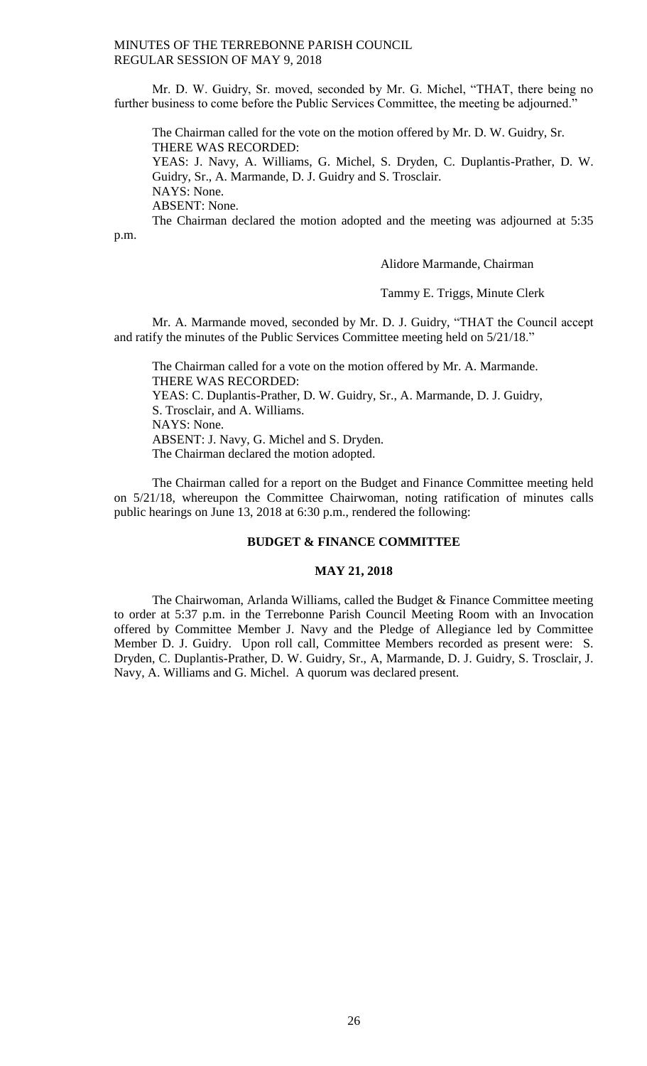Mr. D. W. Guidry, Sr. moved, seconded by Mr. G. Michel, "THAT, there being no further business to come before the Public Services Committee, the meeting be adjourned."

The Chairman called for the vote on the motion offered by Mr. D. W. Guidry, Sr. THERE WAS RECORDED:

YEAS: J. Navy, A. Williams, G. Michel, S. Dryden, C. Duplantis-Prather, D. W. Guidry, Sr., A. Marmande, D. J. Guidry and S. Trosclair. NAYS: None.

ABSENT: None.

The Chairman declared the motion adopted and the meeting was adjourned at 5:35

p.m.

### Alidore Marmande, Chairman

Tammy E. Triggs, Minute Clerk

Mr. A. Marmande moved, seconded by Mr. D. J. Guidry, "THAT the Council accept and ratify the minutes of the Public Services Committee meeting held on 5/21/18."

The Chairman called for a vote on the motion offered by Mr. A. Marmande. THERE WAS RECORDED: YEAS: C. Duplantis-Prather, D. W. Guidry, Sr., A. Marmande, D. J. Guidry, S. Trosclair, and A. Williams. NAYS: None. ABSENT: J. Navy, G. Michel and S. Dryden. The Chairman declared the motion adopted.

The Chairman called for a report on the Budget and Finance Committee meeting held on 5/21/18, whereupon the Committee Chairwoman, noting ratification of minutes calls public hearings on June 13, 2018 at 6:30 p.m., rendered the following:

#### **BUDGET & FINANCE COMMITTEE**

#### **MAY 21, 2018**

The Chairwoman, Arlanda Williams, called the Budget & Finance Committee meeting to order at 5:37 p.m. in the Terrebonne Parish Council Meeting Room with an Invocation offered by Committee Member J. Navy and the Pledge of Allegiance led by Committee Member D. J. Guidry. Upon roll call, Committee Members recorded as present were: S. Dryden, C. Duplantis-Prather, D. W. Guidry, Sr., A, Marmande, D. J. Guidry, S. Trosclair, J. Navy, A. Williams and G. Michel. A quorum was declared present.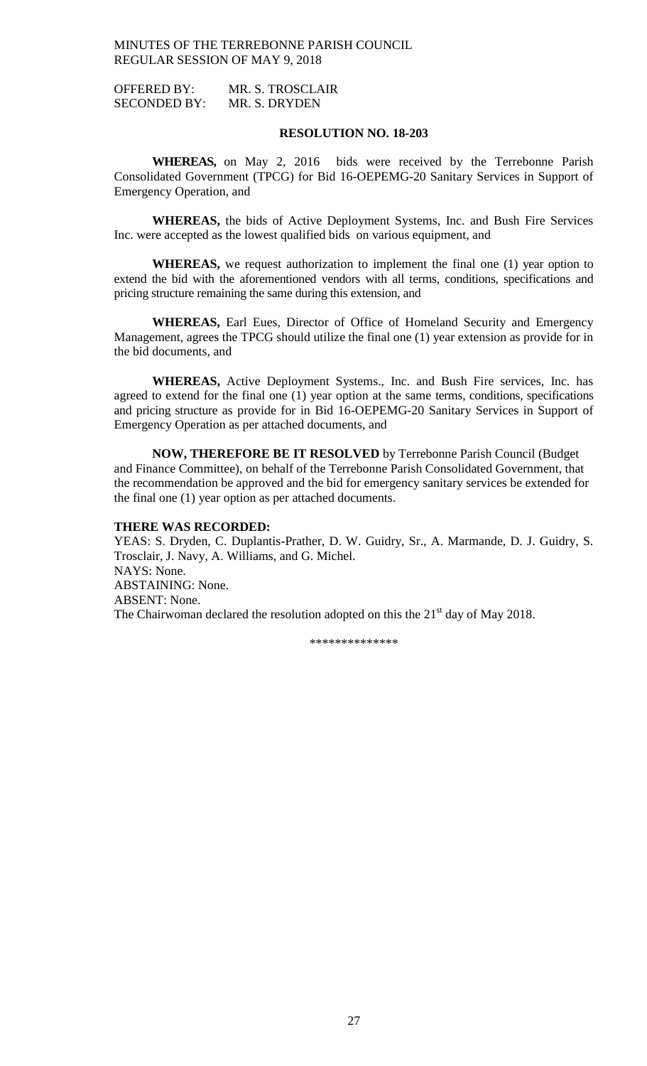OFFERED BY: MR. S. TROSCLAIR SECONDED BY: MR. S. DRYDEN

### **RESOLUTION NO. 18-203**

**WHEREAS,** on May 2, 2016 bids were received by the Terrebonne Parish Consolidated Government (TPCG) for Bid 16-OEPEMG-20 Sanitary Services in Support of Emergency Operation, and

**WHEREAS,** the bids of Active Deployment Systems, Inc. and Bush Fire Services Inc. were accepted as the lowest qualified bids on various equipment, and

**WHEREAS,** we request authorization to implement the final one (1) year option to extend the bid with the aforementioned vendors with all terms, conditions, specifications and pricing structure remaining the same during this extension, and

WHEREAS, Earl Eues, Director of Office of Homeland Security and Emergency Management, agrees the TPCG should utilize the final one (1) year extension as provide for in the bid documents, and

**WHEREAS,** Active Deployment Systems., Inc. and Bush Fire services, Inc. has agreed to extend for the final one (1) year option at the same terms, conditions, specifications and pricing structure as provide for in Bid 16-OEPEMG-20 Sanitary Services in Support of Emergency Operation as per attached documents, and

**NOW, THEREFORE BE IT RESOLVED** by Terrebonne Parish Council (Budget and Finance Committee), on behalf of the Terrebonne Parish Consolidated Government, that the recommendation be approved and the bid for emergency sanitary services be extended for the final one (1) year option as per attached documents.

#### **THERE WAS RECORDED:**

YEAS: S. Dryden, C. Duplantis-Prather, D. W. Guidry, Sr., A. Marmande, D. J. Guidry, S. Trosclair, J. Navy, A. Williams, and G. Michel. NAYS: None. ABSTAINING: None. ABSENT: None. The Chairwoman declared the resolution adopted on this the  $21<sup>st</sup>$  day of May 2018.

\*\*\*\*\*\*\*\*\*\*\*\*\*\*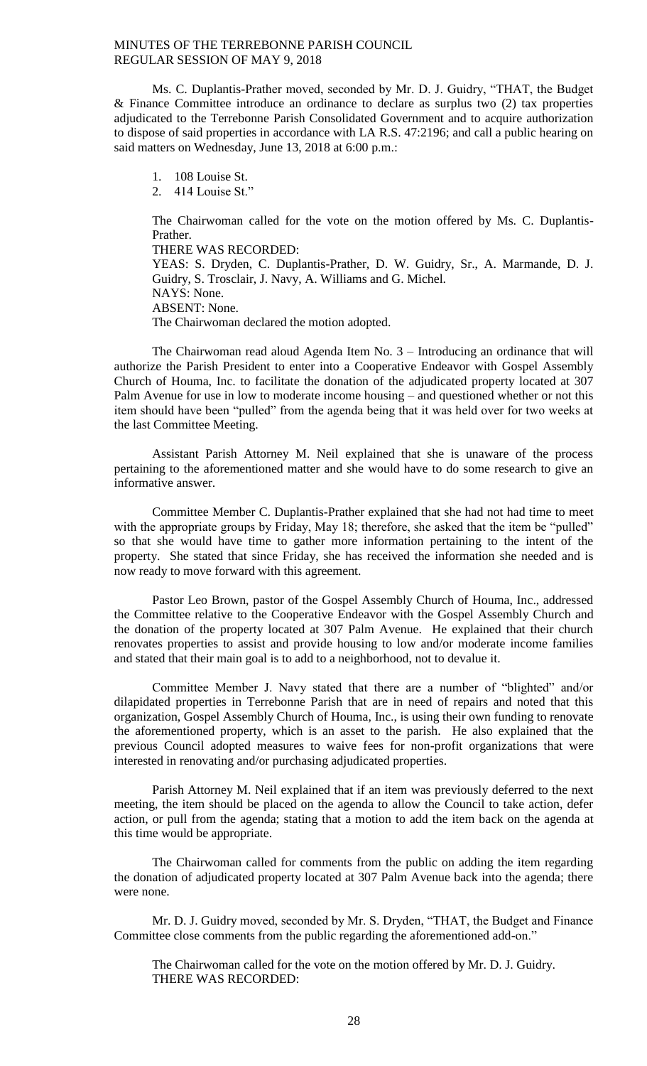Ms. C. Duplantis-Prather moved, seconded by Mr. D. J. Guidry, "THAT, the Budget & Finance Committee introduce an ordinance to declare as surplus two (2) tax properties adjudicated to the Terrebonne Parish Consolidated Government and to acquire authorization to dispose of said properties in accordance with LA R.S. 47:2196; and call a public hearing on said matters on Wednesday, June 13, 2018 at 6:00 p.m.:

1. 108 Louise St.

2. 414 Louise St."

The Chairwoman called for the vote on the motion offered by Ms. C. Duplantis-Prather.

THERE WAS RECORDED:

YEAS: S. Dryden, C. Duplantis-Prather, D. W. Guidry, Sr., A. Marmande, D. J. Guidry, S. Trosclair, J. Navy, A. Williams and G. Michel. NAYS: None. ABSENT: None.

The Chairwoman declared the motion adopted.

The Chairwoman read aloud Agenda Item No. 3 – Introducing an ordinance that will authorize the Parish President to enter into a Cooperative Endeavor with Gospel Assembly Church of Houma, Inc. to facilitate the donation of the adjudicated property located at 307 Palm Avenue for use in low to moderate income housing – and questioned whether or not this item should have been "pulled" from the agenda being that it was held over for two weeks at the last Committee Meeting.

Assistant Parish Attorney M. Neil explained that she is unaware of the process pertaining to the aforementioned matter and she would have to do some research to give an informative answer.

Committee Member C. Duplantis-Prather explained that she had not had time to meet with the appropriate groups by Friday, May 18; therefore, she asked that the item be "pulled" so that she would have time to gather more information pertaining to the intent of the property. She stated that since Friday, she has received the information she needed and is now ready to move forward with this agreement.

Pastor Leo Brown, pastor of the Gospel Assembly Church of Houma, Inc., addressed the Committee relative to the Cooperative Endeavor with the Gospel Assembly Church and the donation of the property located at 307 Palm Avenue. He explained that their church renovates properties to assist and provide housing to low and/or moderate income families and stated that their main goal is to add to a neighborhood, not to devalue it.

Committee Member J. Navy stated that there are a number of "blighted" and/or dilapidated properties in Terrebonne Parish that are in need of repairs and noted that this organization, Gospel Assembly Church of Houma, Inc., is using their own funding to renovate the aforementioned property, which is an asset to the parish. He also explained that the previous Council adopted measures to waive fees for non-profit organizations that were interested in renovating and/or purchasing adjudicated properties.

Parish Attorney M. Neil explained that if an item was previously deferred to the next meeting, the item should be placed on the agenda to allow the Council to take action, defer action, or pull from the agenda; stating that a motion to add the item back on the agenda at this time would be appropriate.

The Chairwoman called for comments from the public on adding the item regarding the donation of adjudicated property located at 307 Palm Avenue back into the agenda; there were none.

Mr. D. J. Guidry moved, seconded by Mr. S. Dryden, "THAT, the Budget and Finance Committee close comments from the public regarding the aforementioned add-on."

The Chairwoman called for the vote on the motion offered by Mr. D. J. Guidry. THERE WAS RECORDED: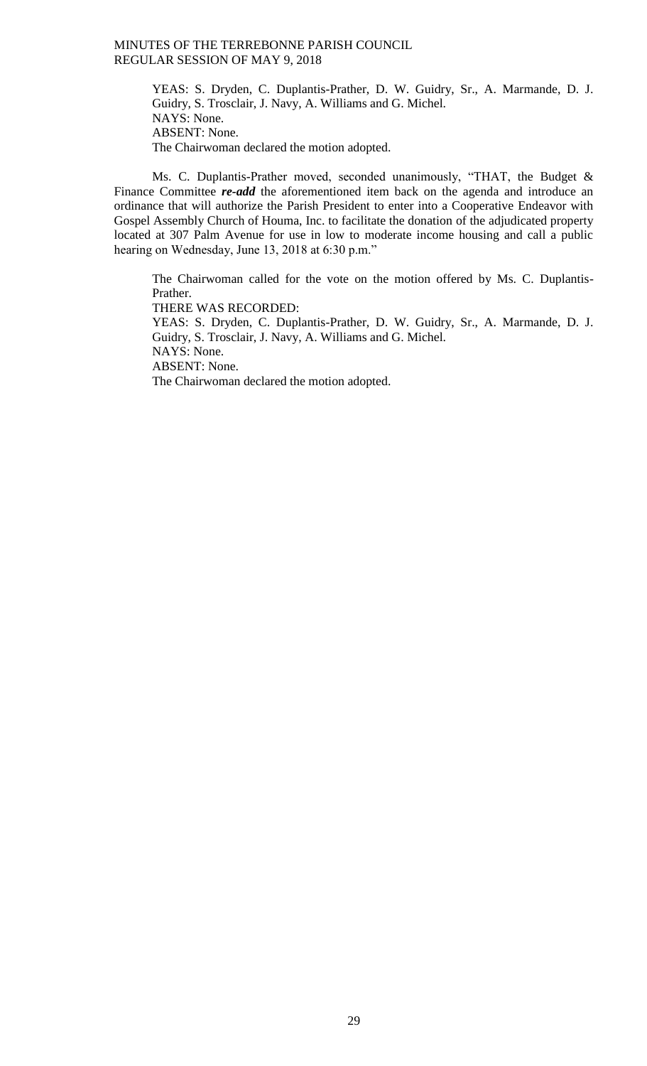YEAS: S. Dryden, C. Duplantis-Prather, D. W. Guidry, Sr., A. Marmande, D. J. Guidry, S. Trosclair, J. Navy, A. Williams and G. Michel. NAYS: None. ABSENT: None. The Chairwoman declared the motion adopted.

Ms. C. Duplantis-Prather moved, seconded unanimously, "THAT, the Budget & Finance Committee *re-add* the aforementioned item back on the agenda and introduce an ordinance that will authorize the Parish President to enter into a Cooperative Endeavor with Gospel Assembly Church of Houma, Inc. to facilitate the donation of the adjudicated property located at 307 Palm Avenue for use in low to moderate income housing and call a public hearing on Wednesday, June 13, 2018 at 6:30 p.m."

The Chairwoman called for the vote on the motion offered by Ms. C. Duplantis-Prather.

THERE WAS RECORDED:

YEAS: S. Dryden, C. Duplantis-Prather, D. W. Guidry, Sr., A. Marmande, D. J. Guidry, S. Trosclair, J. Navy, A. Williams and G. Michel. NAYS: None. ABSENT: None. The Chairwoman declared the motion adopted.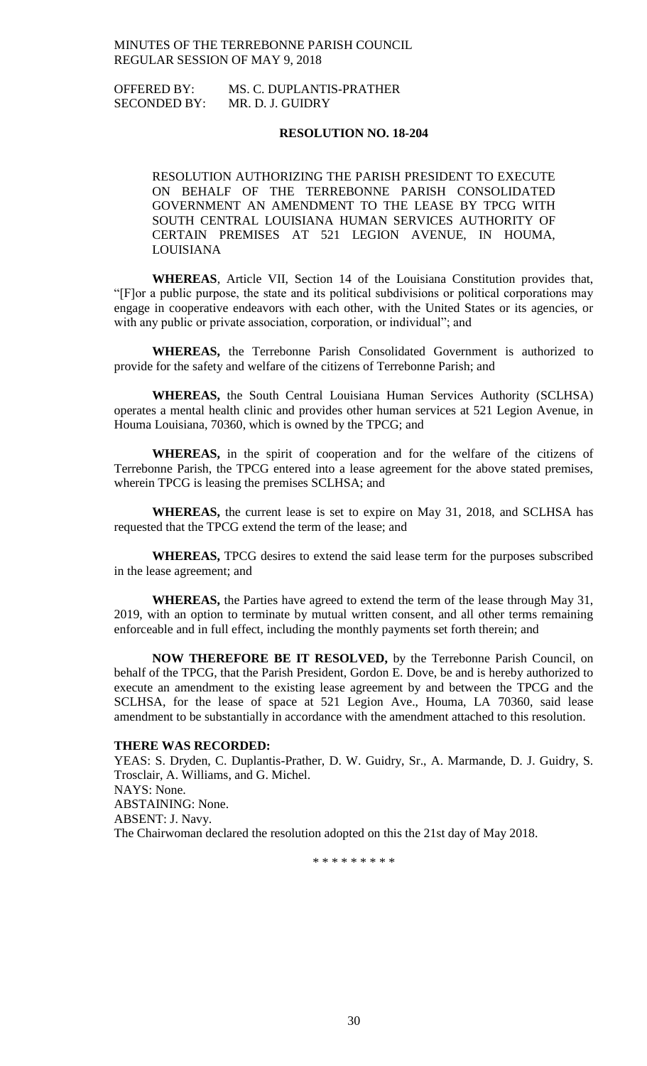# OFFERED BY: MS. C. DUPLANTIS-PRATHER SECONDED BY: MR. D. J. GUIDRY

# **RESOLUTION NO. 18-204**

RESOLUTION AUTHORIZING THE PARISH PRESIDENT TO EXECUTE ON BEHALF OF THE TERREBONNE PARISH CONSOLIDATED GOVERNMENT AN AMENDMENT TO THE LEASE BY TPCG WITH SOUTH CENTRAL LOUISIANA HUMAN SERVICES AUTHORITY OF CERTAIN PREMISES AT 521 LEGION AVENUE, IN HOUMA, LOUISIANA

**WHEREAS**, Article VII, Section 14 of the Louisiana Constitution provides that, "[F]or a public purpose, the state and its political subdivisions or political corporations may engage in cooperative endeavors with each other, with the United States or its agencies, or with any public or private association, corporation, or individual"; and

**WHEREAS,** the Terrebonne Parish Consolidated Government is authorized to provide for the safety and welfare of the citizens of Terrebonne Parish; and

**WHEREAS,** the South Central Louisiana Human Services Authority (SCLHSA) operates a mental health clinic and provides other human services at 521 Legion Avenue, in Houma Louisiana, 70360, which is owned by the TPCG; and

**WHEREAS,** in the spirit of cooperation and for the welfare of the citizens of Terrebonne Parish, the TPCG entered into a lease agreement for the above stated premises, wherein TPCG is leasing the premises SCLHSA; and

**WHEREAS,** the current lease is set to expire on May 31, 2018, and SCLHSA has requested that the TPCG extend the term of the lease; and

**WHEREAS,** TPCG desires to extend the said lease term for the purposes subscribed in the lease agreement; and

**WHEREAS,** the Parties have agreed to extend the term of the lease through May 31, 2019, with an option to terminate by mutual written consent, and all other terms remaining enforceable and in full effect, including the monthly payments set forth therein; and

**NOW THEREFORE BE IT RESOLVED,** by the Terrebonne Parish Council, on behalf of the TPCG, that the Parish President, Gordon E. Dove, be and is hereby authorized to execute an amendment to the existing lease agreement by and between the TPCG and the SCLHSA, for the lease of space at 521 Legion Ave., Houma, LA 70360, said lease amendment to be substantially in accordance with the amendment attached to this resolution.

#### **THERE WAS RECORDED:**

YEAS: S. Dryden, C. Duplantis-Prather, D. W. Guidry, Sr., A. Marmande, D. J. Guidry, S. Trosclair, A. Williams, and G. Michel. NAYS: None. ABSTAINING: None. ABSENT: J. Navy. The Chairwoman declared the resolution adopted on this the 21st day of May 2018.

\* \* \* \* \* \* \* \* \*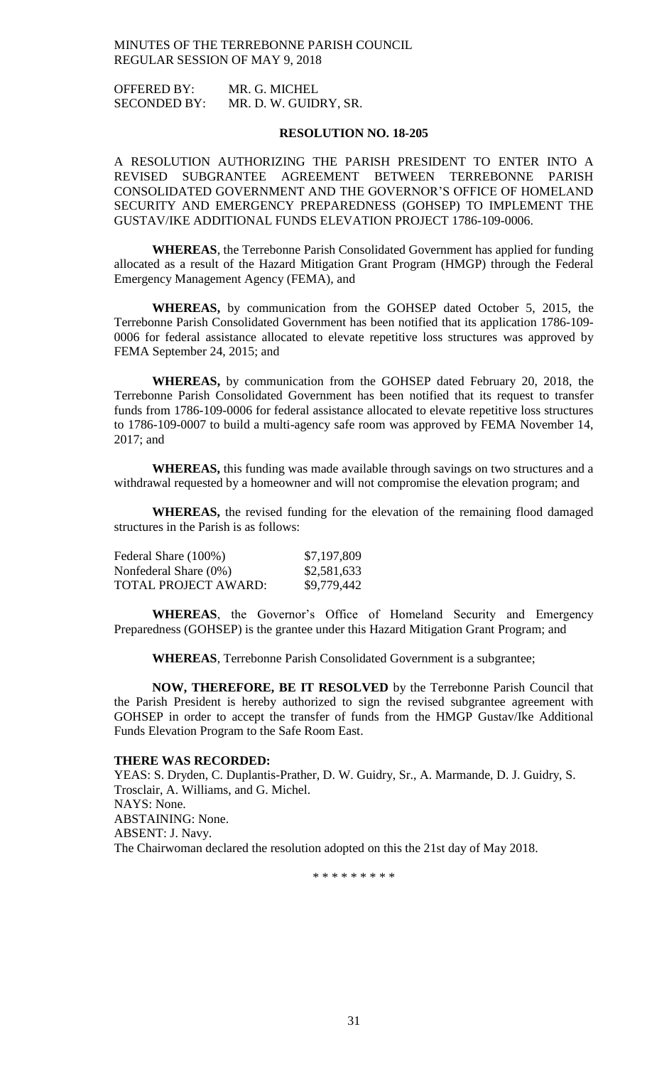OFFERED BY: MR. G. MICHEL SECONDED BY: MR. D. W. GUIDRY, SR.

### **RESOLUTION NO. 18-205**

A RESOLUTION AUTHORIZING THE PARISH PRESIDENT TO ENTER INTO A REVISED SUBGRANTEE AGREEMENT BETWEEN TERREBONNE PARISH CONSOLIDATED GOVERNMENT AND THE GOVERNOR'S OFFICE OF HOMELAND SECURITY AND EMERGENCY PREPAREDNESS (GOHSEP) TO IMPLEMENT THE GUSTAV/IKE ADDITIONAL FUNDS ELEVATION PROJECT 1786-109-0006.

**WHEREAS**, the Terrebonne Parish Consolidated Government has applied for funding allocated as a result of the Hazard Mitigation Grant Program (HMGP) through the Federal Emergency Management Agency (FEMA), and

**WHEREAS,** by communication from the GOHSEP dated October 5, 2015, the Terrebonne Parish Consolidated Government has been notified that its application 1786-109- 0006 for federal assistance allocated to elevate repetitive loss structures was approved by FEMA September 24, 2015; and

**WHEREAS,** by communication from the GOHSEP dated February 20, 2018, the Terrebonne Parish Consolidated Government has been notified that its request to transfer funds from 1786-109-0006 for federal assistance allocated to elevate repetitive loss structures to 1786-109-0007 to build a multi-agency safe room was approved by FEMA November 14, 2017; and

**WHEREAS,** this funding was made available through savings on two structures and a withdrawal requested by a homeowner and will not compromise the elevation program; and

**WHEREAS,** the revised funding for the elevation of the remaining flood damaged structures in the Parish is as follows:

| Federal Share (100%)     | \$7,197,809 |
|--------------------------|-------------|
| Nonfederal Share $(0\%)$ | \$2,581,633 |
| TOTAL PROJECT AWARD:     | \$9,779,442 |

**WHEREAS**, the Governor's Office of Homeland Security and Emergency Preparedness (GOHSEP) is the grantee under this Hazard Mitigation Grant Program; and

**WHEREAS**, Terrebonne Parish Consolidated Government is a subgrantee;

**NOW, THEREFORE, BE IT RESOLVED** by the Terrebonne Parish Council that the Parish President is hereby authorized to sign the revised subgrantee agreement with GOHSEP in order to accept the transfer of funds from the HMGP Gustav/Ike Additional Funds Elevation Program to the Safe Room East.

#### **THERE WAS RECORDED:**

YEAS: S. Dryden, C. Duplantis-Prather, D. W. Guidry, Sr., A. Marmande, D. J. Guidry, S. Trosclair, A. Williams, and G. Michel. NAYS: None. ABSTAINING: None. ABSENT: J. Navy. The Chairwoman declared the resolution adopted on this the 21st day of May 2018.

\* \* \* \* \* \* \* \* \*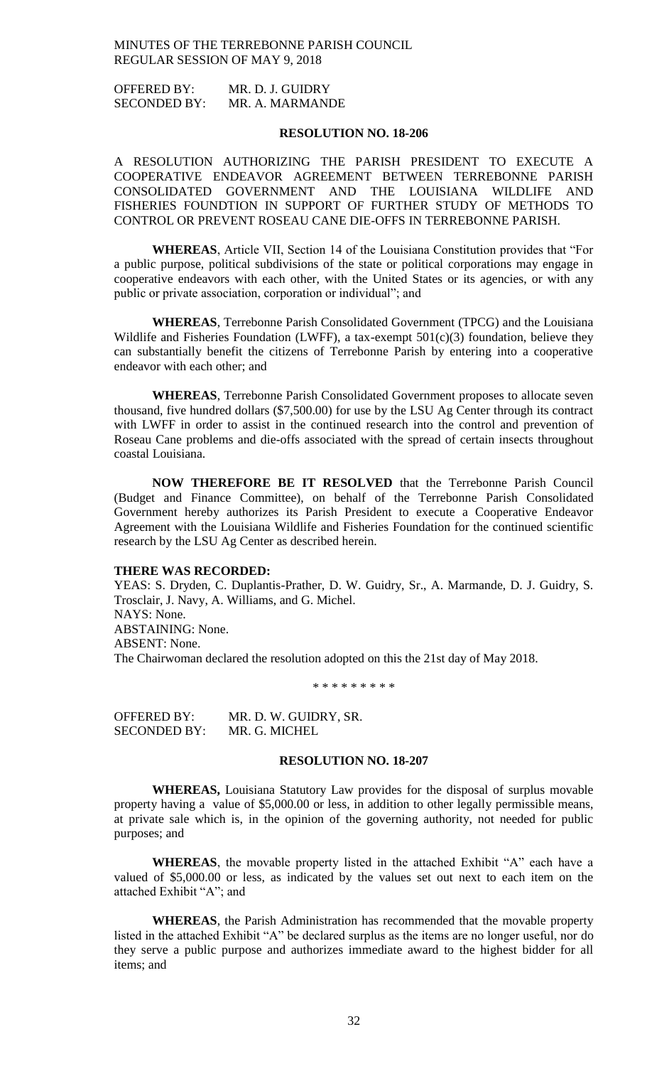| <b>OFFERED BY:</b>  | MR. D. J. GUIDRY |
|---------------------|------------------|
| <b>SECONDED BY:</b> | MR. A. MARMANDE  |

### **RESOLUTION NO. 18-206**

A RESOLUTION AUTHORIZING THE PARISH PRESIDENT TO EXECUTE A COOPERATIVE ENDEAVOR AGREEMENT BETWEEN TERREBONNE PARISH CONSOLIDATED GOVERNMENT AND THE LOUISIANA WILDLIFE AND FISHERIES FOUNDTION IN SUPPORT OF FURTHER STUDY OF METHODS TO CONTROL OR PREVENT ROSEAU CANE DIE-OFFS IN TERREBONNE PARISH.

**WHEREAS**, Article VII, Section 14 of the Louisiana Constitution provides that "For a public purpose, political subdivisions of the state or political corporations may engage in cooperative endeavors with each other, with the United States or its agencies, or with any public or private association, corporation or individual"; and

**WHEREAS**, Terrebonne Parish Consolidated Government (TPCG) and the Louisiana Wildlife and Fisheries Foundation (LWFF), a tax-exempt  $501(c)(3)$  foundation, believe they can substantially benefit the citizens of Terrebonne Parish by entering into a cooperative endeavor with each other; and

**WHEREAS**, Terrebonne Parish Consolidated Government proposes to allocate seven thousand, five hundred dollars (\$7,500.00) for use by the LSU Ag Center through its contract with LWFF in order to assist in the continued research into the control and prevention of Roseau Cane problems and die-offs associated with the spread of certain insects throughout coastal Louisiana.

**NOW THEREFORE BE IT RESOLVED** that the Terrebonne Parish Council (Budget and Finance Committee), on behalf of the Terrebonne Parish Consolidated Government hereby authorizes its Parish President to execute a Cooperative Endeavor Agreement with the Louisiana Wildlife and Fisheries Foundation for the continued scientific research by the LSU Ag Center as described herein.

# **THERE WAS RECORDED:**

YEAS: S. Dryden, C. Duplantis-Prather, D. W. Guidry, Sr., A. Marmande, D. J. Guidry, S. Trosclair, J. Navy, A. Williams, and G. Michel. NAYS: None. ABSTAINING: None. ABSENT: None. The Chairwoman declared the resolution adopted on this the 21st day of May 2018.

\* \* \* \* \* \* \* \* \*

OFFERED BY: MR. D. W. GUIDRY, SR. SECONDED BY: MR. G. MICHEL

#### **RESOLUTION NO. 18-207**

**WHEREAS,** Louisiana Statutory Law provides for the disposal of surplus movable property having a value of \$5,000.00 or less, in addition to other legally permissible means, at private sale which is, in the opinion of the governing authority, not needed for public purposes; and

**WHEREAS**, the movable property listed in the attached Exhibit "A" each have a valued of \$5,000.00 or less, as indicated by the values set out next to each item on the attached Exhibit "A"; and

**WHEREAS**, the Parish Administration has recommended that the movable property listed in the attached Exhibit "A" be declared surplus as the items are no longer useful, nor do they serve a public purpose and authorizes immediate award to the highest bidder for all items; and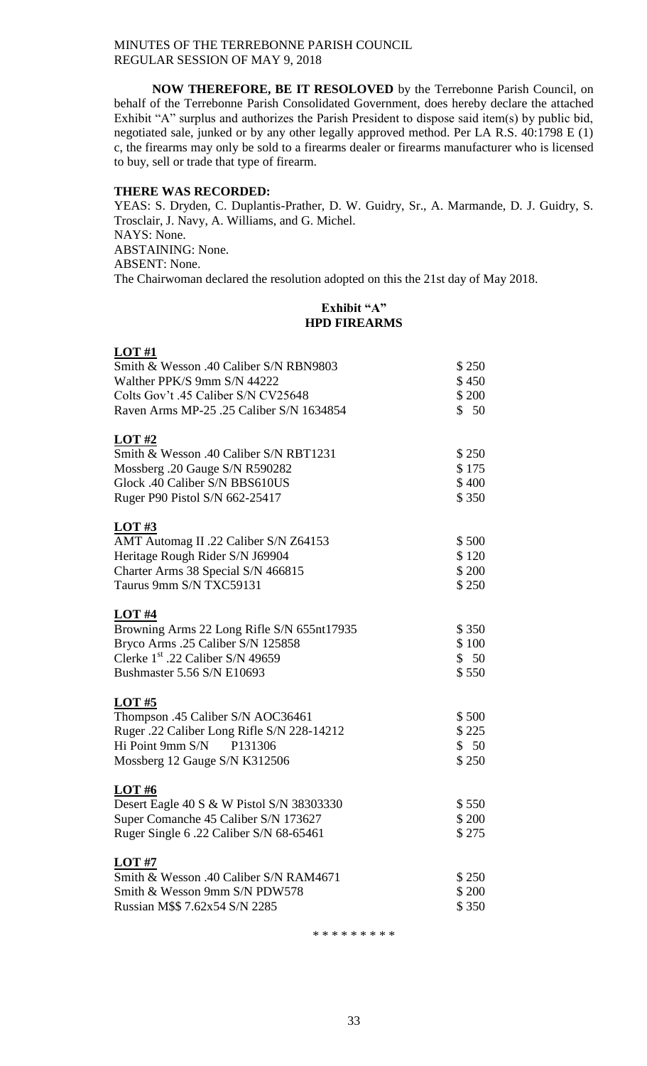**NOW THEREFORE, BE IT RESOLOVED** by the Terrebonne Parish Council, on behalf of the Terrebonne Parish Consolidated Government, does hereby declare the attached Exhibit "A" surplus and authorizes the Parish President to dispose said item(s) by public bid, negotiated sale, junked or by any other legally approved method. Per LA R.S. 40:1798 E (1) c, the firearms may only be sold to a firearms dealer or firearms manufacturer who is licensed to buy, sell or trade that type of firearm.

# **THERE WAS RECORDED:**

YEAS: S. Dryden, C. Duplantis-Prather, D. W. Guidry, Sr., A. Marmande, D. J. Guidry, S. Trosclair, J. Navy, A. Williams, and G. Michel. NAYS: None. ABSTAINING: None. ABSENT: None. The Chairwoman declared the resolution adopted on this the 21st day of May 2018.

# **Exhibit "A" HPD FIREARMS**

| LOT#1                                      |        |
|--------------------------------------------|--------|
| Smith & Wesson .40 Caliber S/N RBN9803     | \$250  |
| Walther PPK/S 9mm S/N 44222                | \$450  |
| Colts Gov't .45 Caliber S/N CV25648        | \$ 200 |
| Raven Arms MP-25 .25 Caliber S/N 1634854   | \$50   |
| <b>LOT #2</b>                              |        |
| Smith & Wesson .40 Caliber S/N RBT1231     | \$250  |
| Mossberg. 20 Gauge S/N R590282             | \$175  |
| Glock .40 Caliber S/N BBS610US             | \$400  |
| Ruger P90 Pistol S/N 662-25417             | \$350  |
| LOT#3                                      |        |
| AMT Automag II .22 Caliber S/N Z64153      | \$500  |
| Heritage Rough Rider S/N J69904            | \$120  |
| Charter Arms 38 Special S/N 466815         | \$ 200 |
| Taurus 9mm S/N TXC59131                    | \$250  |
| <b>LOT #4</b>                              |        |
| Browning Arms 22 Long Rifle S/N 655nt17935 | \$350  |
| Bryco Arms .25 Caliber S/N 125858          | \$100  |
| Clerke $1st$ .22 Caliber S/N 49659         | \$50   |
| Bushmaster 5.56 S/N E10693                 | \$550  |
| <b>LOT #5</b>                              |        |
| Thompson .45 Caliber S/N AOC36461          | \$500  |
| Ruger .22 Caliber Long Rifle S/N 228-14212 | \$225  |
| Hi Point 9mm $S/N$ P131306                 | \$50   |
| Mossberg 12 Gauge S/N K312506              | \$250  |
| <b>LOT#6</b>                               |        |
| Desert Eagle 40 S & W Pistol S/N 38303330  | \$550  |
| Super Comanche 45 Caliber S/N 173627       | \$200  |
| Ruger Single 6.22 Caliber S/N 68-65461     | \$275  |
| LOT#7                                      |        |
| Smith & Wesson .40 Caliber S/N RAM4671     | \$250  |
| Smith & Wesson 9mm S/N PDW578              | \$ 200 |
| Russian M\$\$ 7.62x54 S/N 2285             | \$350  |

\* \* \* \* \* \* \* \* \*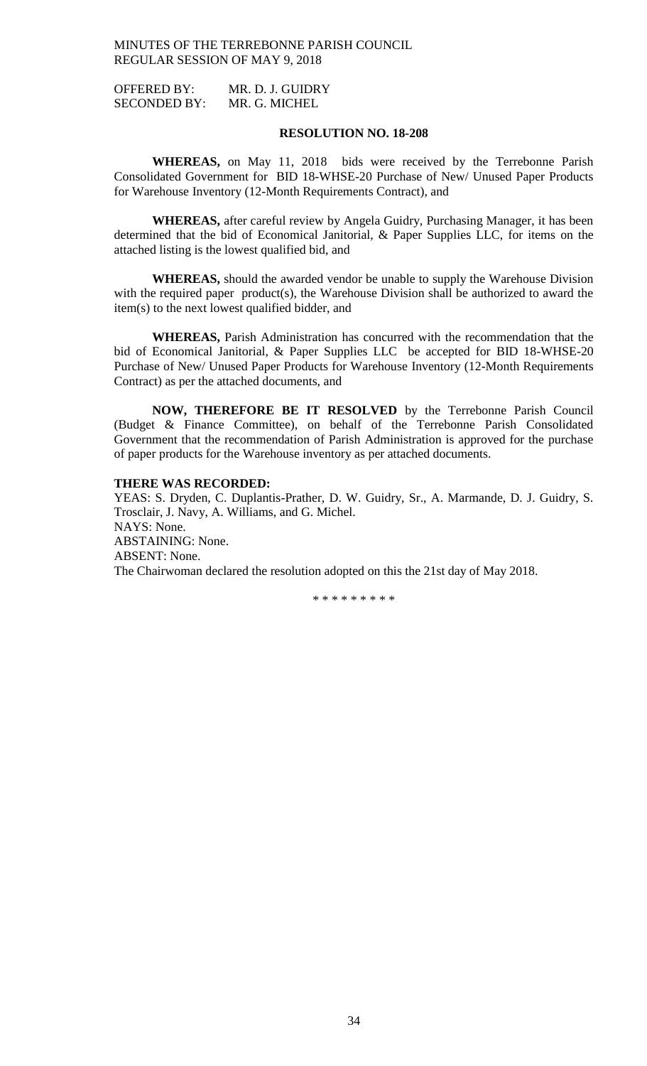OFFERED BY: MR. D. J. GUIDRY SECONDED BY: MR. G. MICHEL

# **RESOLUTION NO. 18-208**

**WHEREAS,** on May 11, 2018 bids were received by the Terrebonne Parish Consolidated Government for BID 18-WHSE-20 Purchase of New/ Unused Paper Products for Warehouse Inventory (12-Month Requirements Contract), and

**WHEREAS,** after careful review by Angela Guidry, Purchasing Manager, it has been determined that the bid of Economical Janitorial, & Paper Supplies LLC, for items on the attached listing is the lowest qualified bid, and

**WHEREAS,** should the awarded vendor be unable to supply the Warehouse Division with the required paper product(s), the Warehouse Division shall be authorized to award the item(s) to the next lowest qualified bidder, and

**WHEREAS,** Parish Administration has concurred with the recommendation that the bid of Economical Janitorial, & Paper Supplies LLC be accepted for BID 18-WHSE-20 Purchase of New/ Unused Paper Products for Warehouse Inventory (12-Month Requirements Contract) as per the attached documents, and

**NOW, THEREFORE BE IT RESOLVED** by the Terrebonne Parish Council (Budget & Finance Committee), on behalf of the Terrebonne Parish Consolidated Government that the recommendation of Parish Administration is approved for the purchase of paper products for the Warehouse inventory as per attached documents.

#### **THERE WAS RECORDED:**

YEAS: S. Dryden, C. Duplantis-Prather, D. W. Guidry, Sr., A. Marmande, D. J. Guidry, S. Trosclair, J. Navy, A. Williams, and G. Michel. NAYS: None. ABSTAINING: None. ABSENT: None. The Chairwoman declared the resolution adopted on this the 21st day of May 2018.

\* \* \* \* \* \* \* \* \*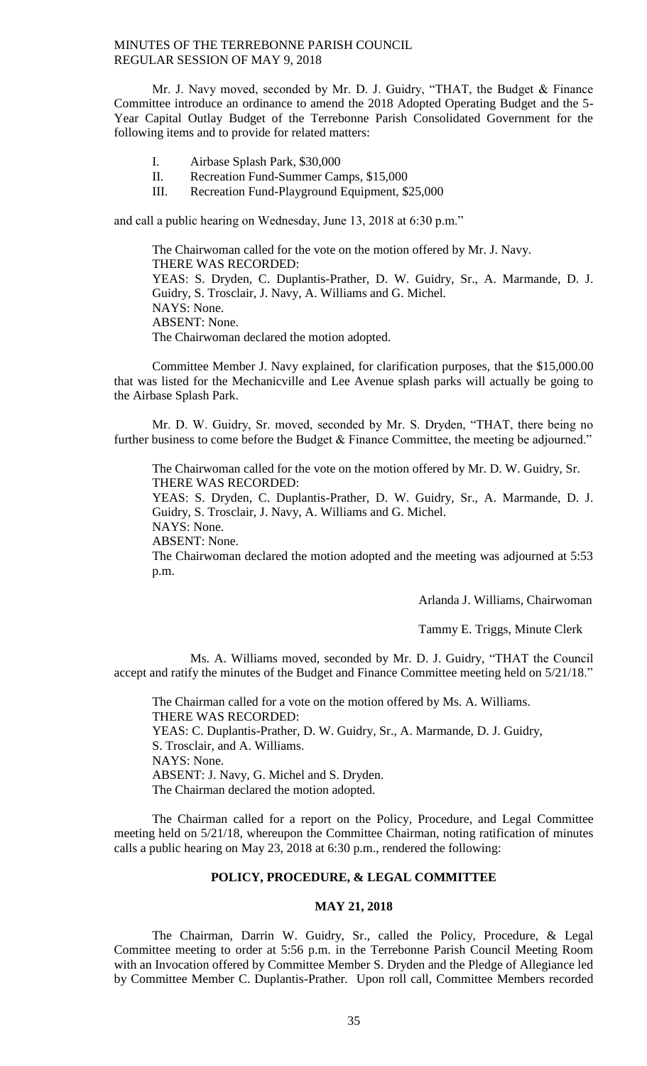Mr. J. Navy moved, seconded by Mr. D. J. Guidry, "THAT, the Budget & Finance Committee introduce an ordinance to amend the 2018 Adopted Operating Budget and the 5- Year Capital Outlay Budget of the Terrebonne Parish Consolidated Government for the following items and to provide for related matters:

- I. Airbase Splash Park, \$30,000
- II. Recreation Fund-Summer Camps, \$15,000
- III. Recreation Fund-Playground Equipment, \$25,000

and call a public hearing on Wednesday, June 13, 2018 at 6:30 p.m."

The Chairwoman called for the vote on the motion offered by Mr. J. Navy. THERE WAS RECORDED: YEAS: S. Dryden, C. Duplantis-Prather, D. W. Guidry, Sr., A. Marmande, D. J. Guidry, S. Trosclair, J. Navy, A. Williams and G. Michel. NAYS: None. ABSENT: None. The Chairwoman declared the motion adopted.

Committee Member J. Navy explained, for clarification purposes, that the \$15,000.00 that was listed for the Mechanicville and Lee Avenue splash parks will actually be going to the Airbase Splash Park.

Mr. D. W. Guidry, Sr. moved, seconded by Mr. S. Dryden, "THAT, there being no further business to come before the Budget & Finance Committee, the meeting be adjourned."

The Chairwoman called for the vote on the motion offered by Mr. D. W. Guidry, Sr. THERE WAS RECORDED:

YEAS: S. Dryden, C. Duplantis-Prather, D. W. Guidry, Sr., A. Marmande, D. J. Guidry, S. Trosclair, J. Navy, A. Williams and G. Michel.

NAYS: None.

ABSENT: None.

The Chairwoman declared the motion adopted and the meeting was adjourned at 5:53 p.m.

Arlanda J. Williams, Chairwoman

Tammy E. Triggs, Minute Clerk

Ms. A. Williams moved, seconded by Mr. D. J. Guidry, "THAT the Council accept and ratify the minutes of the Budget and Finance Committee meeting held on 5/21/18."

The Chairman called for a vote on the motion offered by Ms. A. Williams. THERE WAS RECORDED: YEAS: C. Duplantis-Prather, D. W. Guidry, Sr., A. Marmande, D. J. Guidry, S. Trosclair, and A. Williams. NAYS: None. ABSENT: J. Navy, G. Michel and S. Dryden. The Chairman declared the motion adopted.

The Chairman called for a report on the Policy, Procedure, and Legal Committee meeting held on 5/21/18, whereupon the Committee Chairman, noting ratification of minutes calls a public hearing on May 23, 2018 at 6:30 p.m., rendered the following:

### **POLICY, PROCEDURE, & LEGAL COMMITTEE**

#### **MAY 21, 2018**

The Chairman, Darrin W. Guidry, Sr., called the Policy, Procedure, & Legal Committee meeting to order at 5:56 p.m. in the Terrebonne Parish Council Meeting Room with an Invocation offered by Committee Member S. Dryden and the Pledge of Allegiance led by Committee Member C. Duplantis-Prather. Upon roll call, Committee Members recorded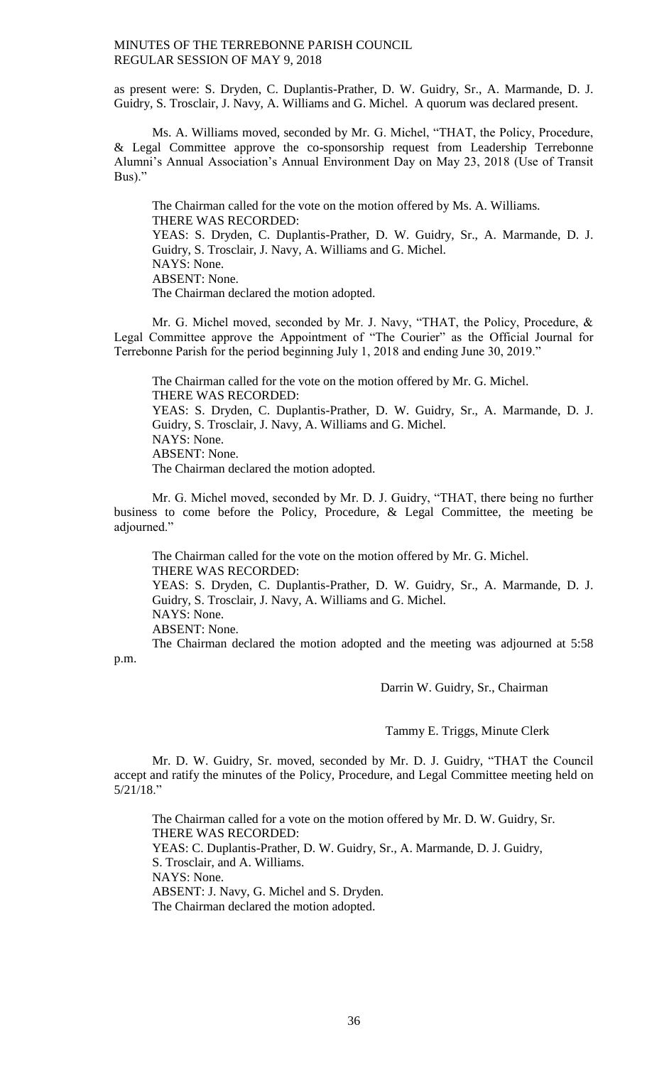as present were: S. Dryden, C. Duplantis-Prather, D. W. Guidry, Sr., A. Marmande, D. J. Guidry, S. Trosclair, J. Navy, A. Williams and G. Michel. A quorum was declared present.

Ms. A. Williams moved, seconded by Mr. G. Michel, "THAT, the Policy, Procedure, & Legal Committee approve the co-sponsorship request from Leadership Terrebonne Alumni's Annual Association's Annual Environment Day on May 23, 2018 (Use of Transit Bus)."

The Chairman called for the vote on the motion offered by Ms. A. Williams. THERE WAS RECORDED: YEAS: S. Dryden, C. Duplantis-Prather, D. W. Guidry, Sr., A. Marmande, D. J. Guidry, S. Trosclair, J. Navy, A. Williams and G. Michel. NAYS: None. ABSENT: None. The Chairman declared the motion adopted.

Mr. G. Michel moved, seconded by Mr. J. Navy, "THAT, the Policy, Procedure, & Legal Committee approve the Appointment of "The Courier" as the Official Journal for Terrebonne Parish for the period beginning July 1, 2018 and ending June 30, 2019."

The Chairman called for the vote on the motion offered by Mr. G. Michel. THERE WAS RECORDED: YEAS: S. Dryden, C. Duplantis-Prather, D. W. Guidry, Sr., A. Marmande, D. J. Guidry, S. Trosclair, J. Navy, A. Williams and G. Michel. NAYS: None. ABSENT: None. The Chairman declared the motion adopted.

Mr. G. Michel moved, seconded by Mr. D. J. Guidry, "THAT, there being no further business to come before the Policy, Procedure, & Legal Committee, the meeting be adjourned."

The Chairman called for the vote on the motion offered by Mr. G. Michel. THERE WAS RECORDED: YEAS: S. Dryden, C. Duplantis-Prather, D. W. Guidry, Sr., A. Marmande, D. J. Guidry, S. Trosclair, J. Navy, A. Williams and G. Michel. NAYS: None. ABSENT: None. The Chairman declared the motion adopted and the meeting was adjourned at 5:58

p.m.

Darrin W. Guidry, Sr., Chairman

Tammy E. Triggs, Minute Clerk

Mr. D. W. Guidry, Sr. moved, seconded by Mr. D. J. Guidry, "THAT the Council accept and ratify the minutes of the Policy, Procedure, and Legal Committee meeting held on 5/21/18."

The Chairman called for a vote on the motion offered by Mr. D. W. Guidry, Sr. THERE WAS RECORDED: YEAS: C. Duplantis-Prather, D. W. Guidry, Sr., A. Marmande, D. J. Guidry, S. Trosclair, and A. Williams. NAYS: None. ABSENT: J. Navy, G. Michel and S. Dryden. The Chairman declared the motion adopted.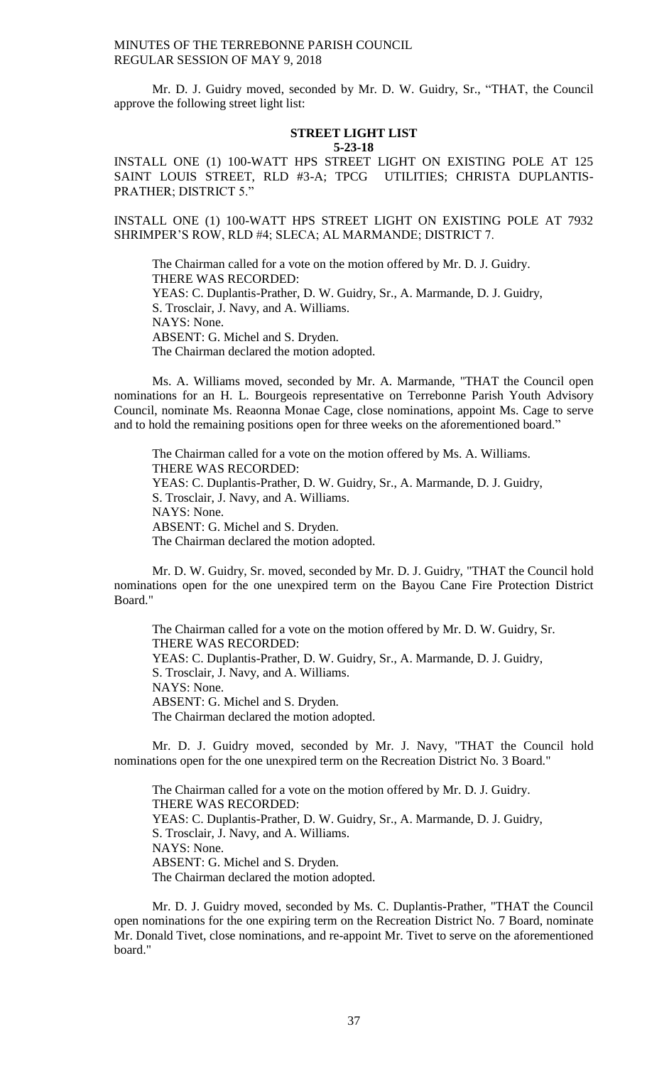Mr. D. J. Guidry moved, seconded by Mr. D. W. Guidry, Sr., "THAT, the Council approve the following street light list:

#### **STREET LIGHT LIST 5-23-18**

INSTALL ONE (1) 100-WATT HPS STREET LIGHT ON EXISTING POLE AT 125 SAINT LOUIS STREET, RLD #3-A; TPCG UTILITIES; CHRISTA DUPLANTIS-PRATHER; DISTRICT 5."

INSTALL ONE (1) 100-WATT HPS STREET LIGHT ON EXISTING POLE AT 7932 SHRIMPER'S ROW, RLD #4; SLECA; AL MARMANDE; DISTRICT 7.

The Chairman called for a vote on the motion offered by Mr. D. J. Guidry. THERE WAS RECORDED: YEAS: C. Duplantis-Prather, D. W. Guidry, Sr., A. Marmande, D. J. Guidry, S. Trosclair, J. Navy, and A. Williams. NAYS: None. ABSENT: G. Michel and S. Dryden. The Chairman declared the motion adopted.

Ms. A. Williams moved, seconded by Mr. A. Marmande, "THAT the Council open nominations for an H. L. Bourgeois representative on Terrebonne Parish Youth Advisory Council, nominate Ms. Reaonna Monae Cage, close nominations, appoint Ms. Cage to serve and to hold the remaining positions open for three weeks on the aforementioned board."

The Chairman called for a vote on the motion offered by Ms. A. Williams. THERE WAS RECORDED: YEAS: C. Duplantis-Prather, D. W. Guidry, Sr., A. Marmande, D. J. Guidry, S. Trosclair, J. Navy, and A. Williams. NAYS: None. ABSENT: G. Michel and S. Dryden. The Chairman declared the motion adopted.

Mr. D. W. Guidry, Sr. moved, seconded by Mr. D. J. Guidry, "THAT the Council hold nominations open for the one unexpired term on the Bayou Cane Fire Protection District Board."

The Chairman called for a vote on the motion offered by Mr. D. W. Guidry, Sr. THERE WAS RECORDED: YEAS: C. Duplantis-Prather, D. W. Guidry, Sr., A. Marmande, D. J. Guidry, S. Trosclair, J. Navy, and A. Williams. NAYS: None. ABSENT: G. Michel and S. Dryden. The Chairman declared the motion adopted.

Mr. D. J. Guidry moved, seconded by Mr. J. Navy, "THAT the Council hold nominations open for the one unexpired term on the Recreation District No. 3 Board."

The Chairman called for a vote on the motion offered by Mr. D. J. Guidry. THERE WAS RECORDED: YEAS: C. Duplantis-Prather, D. W. Guidry, Sr., A. Marmande, D. J. Guidry, S. Trosclair, J. Navy, and A. Williams. NAYS: None. ABSENT: G. Michel and S. Dryden. The Chairman declared the motion adopted.

Mr. D. J. Guidry moved, seconded by Ms. C. Duplantis-Prather, "THAT the Council open nominations for the one expiring term on the Recreation District No. 7 Board, nominate Mr. Donald Tivet, close nominations, and re-appoint Mr. Tivet to serve on the aforementioned board."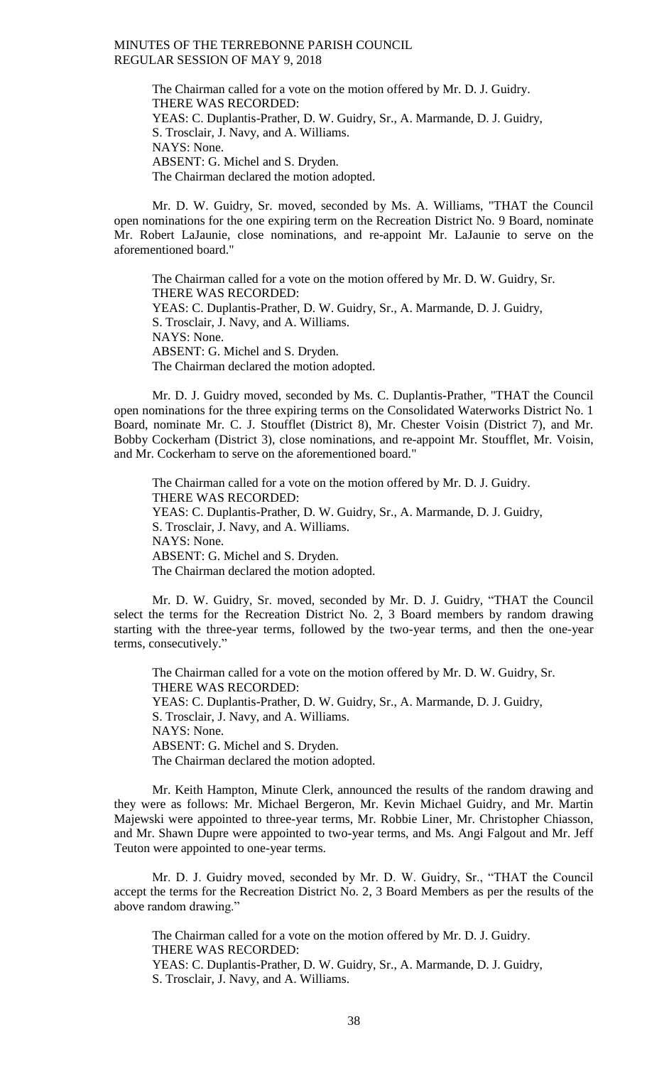The Chairman called for a vote on the motion offered by Mr. D. J. Guidry. THERE WAS RECORDED: YEAS: C. Duplantis-Prather, D. W. Guidry, Sr., A. Marmande, D. J. Guidry, S. Trosclair, J. Navy, and A. Williams. NAYS: None. ABSENT: G. Michel and S. Dryden. The Chairman declared the motion adopted.

Mr. D. W. Guidry, Sr. moved, seconded by Ms. A. Williams, "THAT the Council open nominations for the one expiring term on the Recreation District No. 9 Board, nominate Mr. Robert LaJaunie, close nominations, and re-appoint Mr. LaJaunie to serve on the aforementioned board."

The Chairman called for a vote on the motion offered by Mr. D. W. Guidry, Sr. THERE WAS RECORDED: YEAS: C. Duplantis-Prather, D. W. Guidry, Sr., A. Marmande, D. J. Guidry, S. Trosclair, J. Navy, and A. Williams. NAYS: None. ABSENT: G. Michel and S. Dryden. The Chairman declared the motion adopted.

Mr. D. J. Guidry moved, seconded by Ms. C. Duplantis-Prather, "THAT the Council open nominations for the three expiring terms on the Consolidated Waterworks District No. 1 Board, nominate Mr. C. J. Stoufflet (District 8), Mr. Chester Voisin (District 7), and Mr. Bobby Cockerham (District 3), close nominations, and re-appoint Mr. Stoufflet, Mr. Voisin, and Mr. Cockerham to serve on the aforementioned board."

The Chairman called for a vote on the motion offered by Mr. D. J. Guidry. THERE WAS RECORDED: YEAS: C. Duplantis-Prather, D. W. Guidry, Sr., A. Marmande, D. J. Guidry, S. Trosclair, J. Navy, and A. Williams. NAYS: None. ABSENT: G. Michel and S. Dryden. The Chairman declared the motion adopted.

Mr. D. W. Guidry, Sr. moved, seconded by Mr. D. J. Guidry, "THAT the Council select the terms for the Recreation District No. 2, 3 Board members by random drawing starting with the three-year terms, followed by the two-year terms, and then the one-year terms, consecutively."

The Chairman called for a vote on the motion offered by Mr. D. W. Guidry, Sr. THERE WAS RECORDED: YEAS: C. Duplantis-Prather, D. W. Guidry, Sr., A. Marmande, D. J. Guidry, S. Trosclair, J. Navy, and A. Williams. NAYS: None. ABSENT: G. Michel and S. Dryden. The Chairman declared the motion adopted.

Mr. Keith Hampton, Minute Clerk, announced the results of the random drawing and they were as follows: Mr. Michael Bergeron, Mr. Kevin Michael Guidry, and Mr. Martin Majewski were appointed to three-year terms, Mr. Robbie Liner, Mr. Christopher Chiasson, and Mr. Shawn Dupre were appointed to two-year terms, and Ms. Angi Falgout and Mr. Jeff Teuton were appointed to one-year terms.

Mr. D. J. Guidry moved, seconded by Mr. D. W. Guidry, Sr., "THAT the Council accept the terms for the Recreation District No. 2, 3 Board Members as per the results of the above random drawing."

The Chairman called for a vote on the motion offered by Mr. D. J. Guidry. THERE WAS RECORDED: YEAS: C. Duplantis-Prather, D. W. Guidry, Sr., A. Marmande, D. J. Guidry, S. Trosclair, J. Navy, and A. Williams.